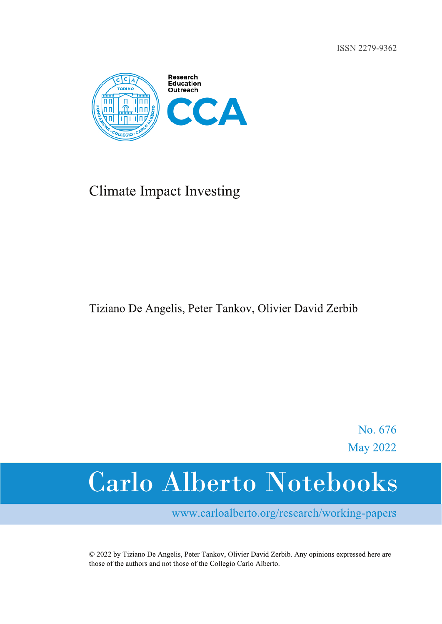ISSN 2279-9362



## **Climate Impact Investing**

## Tiziano De Angelis, Peter Tankov, Olivier David Zerbib

No. 676 **May 2022** 

# **Carlo Alberto Notebooks**

www.carloalberto.org/research/working-papers

© 2022 by Tiziano De Angelis, Peter Tankov, Olivier David Zerbib. Any opinions expressed here are those of the authors and not those of the Collegio Carlo Alberto.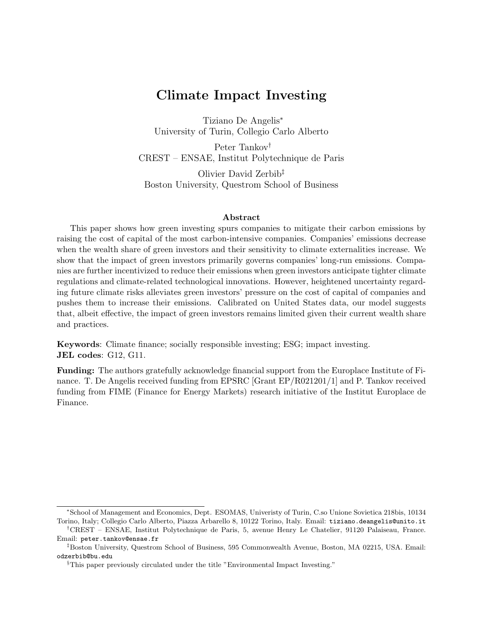## Climate Impact Investing

Tiziano De Angelis<sup>∗</sup> University of Turin, Collegio Carlo Alberto

Peter Tankov† CREST – ENSAE, Institut Polytechnique de Paris

Olivier David Zerbib‡ Boston University, Questrom School of Business

#### Abstract

This paper shows how green investing spurs companies to mitigate their carbon emissions by raising the cost of capital of the most carbon-intensive companies. Companies' emissions decrease when the wealth share of green investors and their sensitivity to climate externalities increase. We show that the impact of green investors primarily governs companies' long-run emissions. Companies are further incentivized to reduce their emissions when green investors anticipate tighter climate regulations and climate-related technological innovations. However, heightened uncertainty regarding future climate risks alleviates green investors' pressure on the cost of capital of companies and pushes them to increase their emissions. Calibrated on United States data, our model suggests that, albeit effective, the impact of green investors remains limited given their current wealth share and practices.

Keywords: Climate finance; socially responsible investing; ESG; impact investing. JEL codes: G12, G11.

Funding: The authors gratefully acknowledge financial support from the Europlace Institute of Finance. T. De Angelis received funding from EPSRC [Grant EP/R021201/1] and P. Tankov received funding from FIME (Finance for Energy Markets) research initiative of the Institut Europlace de Finance.

<sup>∗</sup>School of Management and Economics, Dept. ESOMAS, Univeristy of Turin, C.so Unione Sovietica 218bis, 10134 Torino, Italy; Collegio Carlo Alberto, Piazza Arbarello 8, 10122 Torino, Italy. Email: tiziano.deangelis@unito.it

<sup>†</sup>CREST – ENSAE, Institut Polytechnique de Paris, 5, avenue Henry Le Chatelier, 91120 Palaiseau, France. Email: peter.tankov@ensae.fr

<sup>‡</sup>Boston University, Questrom School of Business, 595 Commonwealth Avenue, Boston, MA 02215, USA. Email: odzerbib@bu.edu

<sup>§</sup>This paper previously circulated under the title "Environmental Impact Investing."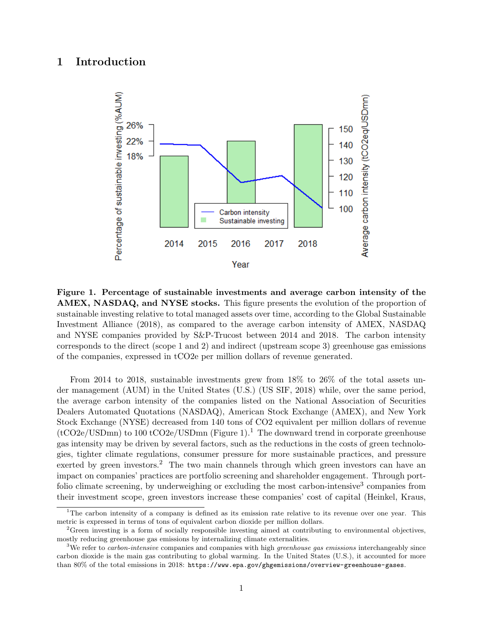## <span id="page-2-0"></span>1 Introduction



Figure 1. Percentage of sustainable investments and average carbon intensity of the AMEX, NASDAQ, and NYSE stocks. This figure presents the evolution of the proportion of sustainable investing relative to total managed assets over time, according to the [Global Sustainable](#page-29-0) [Investment Alliance](#page-29-0) [\(2018\)](#page-29-0), as compared to the average carbon intensity of AMEX, NASDAQ and NYSE companies provided by S&P-Trucost between 2014 and 2018. The carbon intensity corresponds to the direct (scope 1 and 2) and indirect (upstream scope 3) greenhouse gas emissions of the companies, expressed in tCO2e per million dollars of revenue generated.

From 2014 to 2018, sustainable investments grew from 18% to 26% of the total assets under management (AUM) in the United States (U.S.) [\(US SIF,](#page-31-0) [2018\)](#page-31-0) while, over the same period, the average carbon intensity of the companies listed on the National Association of Securities Dealers Automated Quotations (NASDAQ), American Stock Exchange (AMEX), and New York Stock Exchange (NYSE) decreased from 140 tons of CO2 equivalent per million dollars of revenue  $(tCO2e/USDmn)$  to 100 tCO2e/USDmn (Figure [1\)](#page-2-0).<sup>[1](#page-2-1)</sup> The downward trend in corporate greenhouse gas intensity may be driven by several factors, such as the reductions in the costs of green technologies, tighter climate regulations, consumer pressure for more sustainable practices, and pressure exerted by green investors.<sup>[2](#page-2-2)</sup> The two main channels through which green investors can have an impact on companies' practices are portfolio screening and shareholder engagement. Through port-folio climate screening, by underweighing or excluding the most carbon-intensive<sup>[3](#page-2-3)</sup> companies from their investment scope, green investors increase these companies' cost of capital [\(Heinkel, Kraus,](#page-30-0)

<span id="page-2-1"></span><sup>&</sup>lt;sup>1</sup>[The carbon intensity of a company is defined as its emission rate relative to its revenue over one year. This](#page-30-0) [metric is expressed in terms of tons of equivalent carbon dioxide per million dollars.](#page-30-0)

<span id="page-2-2"></span><sup>&</sup>lt;sup>2</sup>[Green investing is a form of socially responsible investing aimed at contributing to environmental objectives,](#page-30-0) [mostly reducing greenhouse gas emissions by internalizing climate externalities.](#page-30-0)

<span id="page-2-3"></span><sup>&</sup>lt;sup>3</sup>We refer to *carbon-intensive* [companies and companies with high](#page-30-0) *greenhouse gas emissions* interchangeably since [carbon dioxide is the main gas contributing to global warming. In the United States \(U.S.\), it accounted for more](#page-30-0) than 80% of the total emissions in 2018: [https://www.epa.gov/ghgemissions/overview-greenhouse-gases](#page-30-0).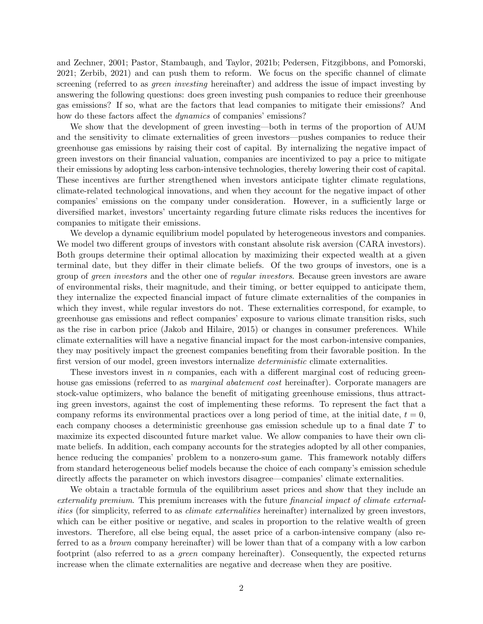[and Zechner,](#page-30-0) [2001;](#page-30-0) [Pastor, Stambaugh, and Taylor,](#page-31-1) [2021b;](#page-31-1) [Pedersen, Fitzgibbons, and Pomorski,](#page-31-2) [2021;](#page-31-2) [Zerbib,](#page-32-0) [2021\)](#page-32-0) and can push them to reform. We focus on the specific channel of climate screening (referred to as *green investing* hereinafter) and address the issue of impact investing by answering the following questions: does green investing push companies to reduce their greenhouse gas emissions? If so, what are the factors that lead companies to mitigate their emissions? And how do these factors affect the *dynamics* of companies' emissions?

We show that the development of green investing—both in terms of the proportion of AUM and the sensitivity to climate externalities of green investors—pushes companies to reduce their greenhouse gas emissions by raising their cost of capital. By internalizing the negative impact of green investors on their financial valuation, companies are incentivized to pay a price to mitigate their emissions by adopting less carbon-intensive technologies, thereby lowering their cost of capital. These incentives are further strengthened when investors anticipate tighter climate regulations, climate-related technological innovations, and when they account for the negative impact of other companies' emissions on the company under consideration. However, in a sufficiently large or diversified market, investors' uncertainty regarding future climate risks reduces the incentives for companies to mitigate their emissions.

We develop a dynamic equilibrium model populated by heterogeneous investors and companies. We model two different groups of investors with constant absolute risk aversion (CARA investors). Both groups determine their optimal allocation by maximizing their expected wealth at a given terminal date, but they differ in their climate beliefs. Of the two groups of investors, one is a group of green investors and the other one of regular investors. Because green investors are aware of environmental risks, their magnitude, and their timing, or better equipped to anticipate them, they internalize the expected financial impact of future climate externalities of the companies in which they invest, while regular investors do not. These externalities correspond, for example, to greenhouse gas emissions and reflect companies' exposure to various climate transition risks, such as the rise in carbon price [\(Jakob and Hilaire,](#page-30-1) [2015\)](#page-30-1) or changes in consumer preferences. While climate externalities will have a negative financial impact for the most carbon-intensive companies, they may positively impact the greenest companies benefiting from their favorable position. In the first version of our model, green investors internalize deterministic climate externalities.

These investors invest in  $n$  companies, each with a different marginal cost of reducing greenhouse gas emissions (referred to as *marginal abatement cost* hereinafter). Corporate managers are stock-value optimizers, who balance the benefit of mitigating greenhouse emissions, thus attracting green investors, against the cost of implementing these reforms. To represent the fact that a company reforms its environmental practices over a long period of time, at the initial date,  $t = 0$ , each company chooses a deterministic greenhouse gas emission schedule up to a final date T to maximize its expected discounted future market value. We allow companies to have their own climate beliefs. In addition, each company accounts for the strategies adopted by all other companies, hence reducing the companies' problem to a nonzero-sum game. This framework notably differs from standard heterogeneous belief models because the choice of each company's emission schedule directly affects the parameter on which investors disagree—companies' climate externalities.

We obtain a tractable formula of the equilibrium asset prices and show that they include an externality premium. This premium increases with the future financial impact of climate externalities (for simplicity, referred to as *climate externalities* hereinafter) internalized by green investors, which can be either positive or negative, and scales in proportion to the relative wealth of green investors. Therefore, all else being equal, the asset price of a carbon-intensive company (also referred to as a brown company hereinafter) will be lower than that of a company with a low carbon footprint (also referred to as a green company hereinafter). Consequently, the expected returns increase when the climate externalities are negative and decrease when they are positive.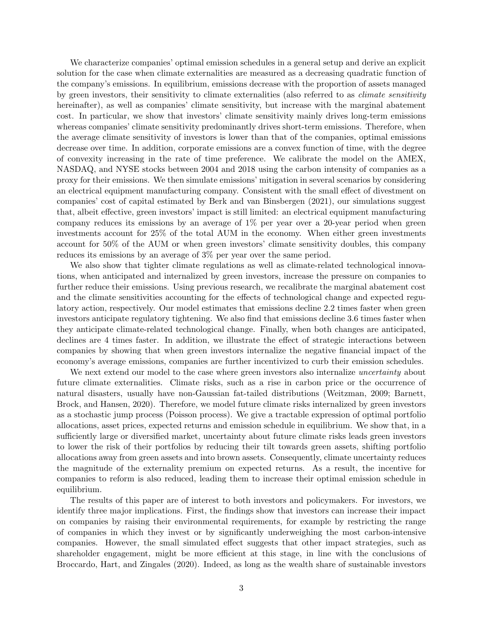We characterize companies' optimal emission schedules in a general setup and derive an explicit solution for the case when climate externalities are measured as a decreasing quadratic function of the company's emissions. In equilibrium, emissions decrease with the proportion of assets managed by green investors, their sensitivity to climate externalities (also referred to as climate sensitivity hereinafter), as well as companies' climate sensitivity, but increase with the marginal abatement cost. In particular, we show that investors' climate sensitivity mainly drives long-term emissions whereas companies' climate sensitivity predominantly drives short-term emissions. Therefore, when the average climate sensitivity of investors is lower than that of the companies, optimal emissions decrease over time. In addition, corporate emissions are a convex function of time, with the degree of convexity increasing in the rate of time preference. We calibrate the model on the AMEX, NASDAQ, and NYSE stocks between 2004 and 2018 using the carbon intensity of companies as a proxy for their emissions. We then simulate emissions' mitigation in several scenarios by considering an electrical equipment manufacturing company. Consistent with the small effect of divestment on companies' cost of capital estimated by [Berk and van Binsbergen](#page-28-0) [\(2021\)](#page-28-0), our simulations suggest that, albeit effective, green investors' impact is still limited: an electrical equipment manufacturing company reduces its emissions by an average of  $1\%$  per year over a 20-year period when green investments account for 25% of the total AUM in the economy. When either green investments account for 50% of the AUM or when green investors' climate sensitivity doubles, this company reduces its emissions by an average of 3% per year over the same period.

We also show that tighter climate regulations as well as climate-related technological innovations, when anticipated and internalized by green investors, increase the pressure on companies to further reduce their emissions. Using previous research, we recalibrate the marginal abatement cost and the climate sensitivities accounting for the effects of technological change and expected regulatory action, respectively. Our model estimates that emissions decline 2.2 times faster when green investors anticipate regulatory tightening. We also find that emissions decline 3.6 times faster when they anticipate climate-related technological change. Finally, when both changes are anticipated, declines are 4 times faster. In addition, we illustrate the effect of strategic interactions between companies by showing that when green investors internalize the negative financial impact of the economy's average emissions, companies are further incentivized to curb their emission schedules.

We next extend our model to the case where green investors also internalize *uncertainty* about future climate externalities. Climate risks, such as a rise in carbon price or the occurrence of natural disasters, usually have non-Gaussian fat-tailed distributions [\(Weitzman,](#page-32-1) [2009;](#page-32-1) [Barnett,](#page-28-1) [Brock, and Hansen,](#page-28-1) [2020\)](#page-28-1). Therefore, we model future climate risks internalized by green investors as a stochastic jump process (Poisson process). We give a tractable expression of optimal portfolio allocations, asset prices, expected returns and emission schedule in equilibrium. We show that, in a sufficiently large or diversified market, uncertainty about future climate risks leads green investors to lower the risk of their portfolios by reducing their tilt towards green assets, shifting portfolio allocations away from green assets and into brown assets. Consequently, climate uncertainty reduces the magnitude of the externality premium on expected returns. As a result, the incentive for companies to reform is also reduced, leading them to increase their optimal emission schedule in equilibrium.

The results of this paper are of interest to both investors and policymakers. For investors, we identify three major implications. First, the findings show that investors can increase their impact on companies by raising their environmental requirements, for example by restricting the range of companies in which they invest or by significantly underweighing the most carbon-intensive companies. However, the small simulated effect suggests that other impact strategies, such as shareholder engagement, might be more efficient at this stage, in line with the conclusions of [Broccardo, Hart, and Zingales](#page-28-2) [\(2020\)](#page-28-2). Indeed, as long as the wealth share of sustainable investors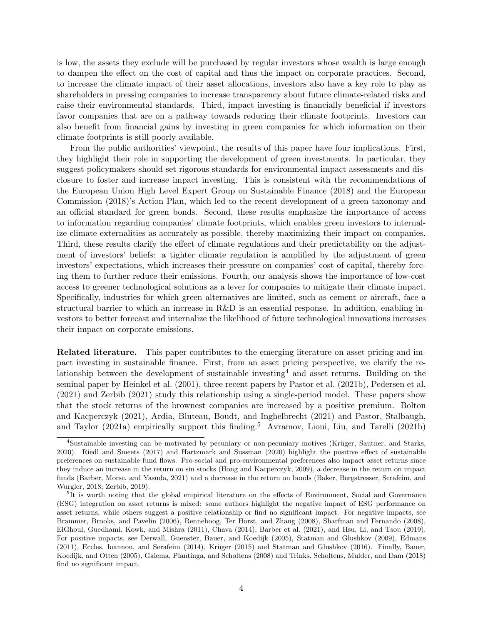is low, the assets they exclude will be purchased by regular investors whose wealth is large enough to dampen the effect on the cost of capital and thus the impact on corporate practices. Second, to increase the climate impact of their asset allocations, investors also have a key role to play as shareholders in pressing companies to increase transparency about future climate-related risks and raise their environmental standards. Third, impact investing is financially beneficial if investors favor companies that are on a pathway towards reducing their climate footprints. Investors can also benefit from financial gains by investing in green companies for which information on their climate footprints is still poorly available.

From the public authorities' viewpoint, the results of this paper have four implications. First, they highlight their role in supporting the development of green investments. In particular, they suggest policymakers should set rigorous standards for environmental impact assessments and disclosure to foster and increase impact investing. This is consistent with the recommendations of the [European Union High Level Expert Group on Sustainable Finance](#page-29-1) [\(2018\)](#page-29-1) and the [European](#page-29-2) [Commission](#page-29-2) [\(2018\)](#page-29-2)'s Action Plan, which led to the recent development of a green taxonomy and an official standard for green bonds. Second, these results emphasize the importance of access to information regarding companies' climate footprints, which enables green investors to internalize climate externalities as accurately as possible, thereby maximizing their impact on companies. Third, these results clarify the effect of climate regulations and their predictability on the adjustment of investors' beliefs: a tighter climate regulation is amplified by the adjustment of green investors' expectations, which increases their pressure on companies' cost of capital, thereby forcing them to further reduce their emissions. Fourth, our analysis shows the importance of low-cost access to greener technological solutions as a lever for companies to mitigate their climate impact. Specifically, industries for which green alternatives are limited, such as cement or aircraft, face a structural barrier to which an increase in R&D is an essential response. In addition, enabling investors to better forecast and internalize the likelihood of future technological innovations increases their impact on corporate emissions.

Related literature. This paper contributes to the emerging literature on asset pricing and impact investing in sustainable finance. First, from an asset pricing perspective, we clarify the re-lationship between the development of sustainable investing<sup>[4](#page-5-0)</sup> and asset returns. Building on the seminal paper by [Heinkel et al.](#page-30-0) [\(2001\)](#page-30-0), three recent papers by [Pastor et al.](#page-31-1) [\(2021b\)](#page-31-1), [Pedersen et al.](#page-31-2) [\(2021\)](#page-31-2) and [Zerbib](#page-32-0) [\(2021\)](#page-32-0) study this relationship using a single-period model. These papers show that the stock returns of the brownest companies are increased by a positive premium. [Bolton](#page-28-3) [and Kacperczyk](#page-28-3) [\(2021\)](#page-28-3), [Ardia, Bluteau, Boudt, and Inghelbrecht](#page-27-0) [\(2021\)](#page-27-0) and [Pastor, Stalbaugh,](#page-31-3) [and Taylor](#page-31-3) [\(2021a\)](#page-31-3) empirically support this finding.<sup>[5](#page-5-1)</sup> [Avramov, Lioui, Liu, and Tarelli](#page-28-4) [\(2021b\)](#page-28-4)

<span id="page-5-0"></span><sup>&</sup>lt;sup>4</sup>Sustainable investing can be motivated by pecuniary or non-pecuniary motives (Krüger, Sautner, and Starks, [2020\)](#page-30-2). [Riedl and Smeets](#page-31-4) [\(2017\)](#page-31-4) and [Hartzmark and Sussman](#page-30-3) [\(2020\)](#page-30-3) highlight the positive effect of sustainable preferences on sustainable fund flows. Pro-social and pro-environmental preferences also impact asset returns since they induce an increase in the return on sin stocks [\(Hong and Kacperczyk,](#page-30-4) [2009\)](#page-30-4), a decrease in the return on impact funds [\(Barber, Morse, and Yasuda,](#page-28-5) [2021\)](#page-28-5) and a decrease in the return on bonds [\(Baker, Bergstresser, Serafeim, and](#page-28-6) [Wurgler,](#page-28-6) [2018;](#page-28-6) [Zerbib,](#page-32-2) [2019\)](#page-32-2).

<span id="page-5-1"></span><sup>&</sup>lt;sup>5</sup>It is worth noting that the global empirical literature on the effects of Environment, Social and Governance (ESG) integration on asset returns is mixed: some authors highlight the negative impact of ESG performance on asset returns, while others suggest a positive relationship or find no significant impact. For negative impacts, see [Brammer, Brooks, and Pavelin](#page-28-7) [\(2006\)](#page-28-7), [Renneboog, Ter Horst, and Zhang](#page-31-5) [\(2008\)](#page-31-5), [Sharfman and Fernando](#page-31-6) [\(2008\)](#page-31-6), [ElGhoul, Guedhami, Kowk, and Mishra](#page-29-3) [\(2011\)](#page-29-3), [Chava](#page-29-4) [\(2014\)](#page-29-4), [Barber et al.](#page-28-5) [\(2021\)](#page-28-5), and [Hsu, Li, and Tsou](#page-30-5) [\(2019\)](#page-30-5). For positive impacts, see [Derwall, Guenster, Bauer, and Koedijk](#page-29-5) [\(2005\)](#page-29-5), [Statman and Glushkov](#page-31-7) [\(2009\)](#page-31-7), [Edmans](#page-29-6) [\(2011\)](#page-29-6), [Eccles, Ioannou, and Serafeim](#page-29-7) [\(2014\)](#page-29-7), Krüger [\(2015\)](#page-30-6) and [Statman and Glushkov](#page-31-8) [\(2016\)](#page-31-8). Finally, [Bauer,](#page-28-8) [Koedijk, and Otten](#page-28-8) [\(2005\)](#page-28-8), [Galema, Plantinga, and Scholtens](#page-29-8) [\(2008\)](#page-29-8) and [Trinks, Scholtens, Mulder, and Dam](#page-31-9) [\(2018\)](#page-31-9) find no significant impact.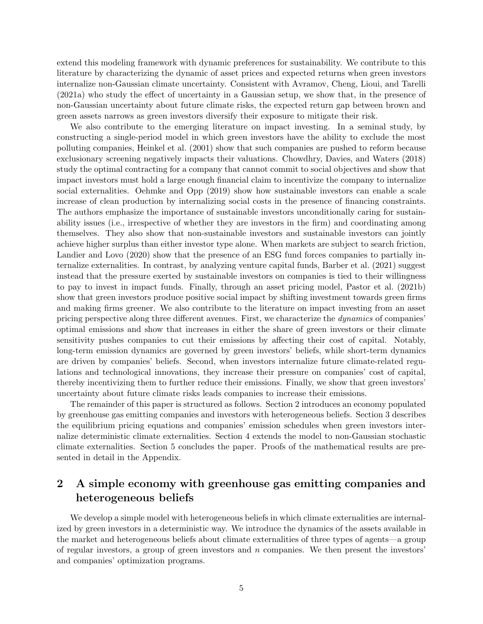extend this modeling framework with dynamic preferences for sustainability. We contribute to this literature by characterizing the dynamic of asset prices and expected returns when green investors internalize non-Gaussian climate uncertainty. Consistent with [Avramov, Cheng, Lioui, and Tarelli](#page-28-9) [\(2021a\)](#page-28-9) who study the effect of uncertainty in a Gaussian setup, we show that, in the presence of non-Gaussian uncertainty about future climate risks, the expected return gap between brown and green assets narrows as green investors diversify their exposure to mitigate their risk.

We also contribute to the emerging literature on impact investing. In a seminal study, by constructing a single-period model in which green investors have the ability to exclude the most polluting companies, [Heinkel et al.](#page-30-0) [\(2001\)](#page-30-0) show that such companies are pushed to reform because exclusionary screening negatively impacts their valuations. [Chowdhry, Davies, and Waters](#page-29-9) [\(2018\)](#page-29-9) study the optimal contracting for a company that cannot commit to social objectives and show that impact investors must hold a large enough financial claim to incentivize the company to internalize social externalities. [Oehmke and Opp](#page-31-10) [\(2019\)](#page-31-10) show how sustainable investors can enable a scale increase of clean production by internalizing social costs in the presence of financing constraints. The authors emphasize the importance of sustainable investors unconditionally caring for sustainability issues (i.e., irrespective of whether they are investors in the firm) and coordinating among themselves. They also show that non-sustainable investors and sustainable investors can jointly achieve higher surplus than either investor type alone. When markets are subject to search friction, [Landier and Lovo](#page-30-7) [\(2020\)](#page-30-7) show that the presence of an ESG fund forces companies to partially internalize externalities. In contrast, by analyzing venture capital funds, [Barber et al.](#page-28-5) [\(2021\)](#page-28-5) suggest instead that the pressure exerted by sustainable investors on companies is tied to their willingness to pay to invest in impact funds. Finally, through an asset pricing model, [Pastor et al.](#page-31-1) [\(2021b\)](#page-31-1) show that green investors produce positive social impact by shifting investment towards green firms and making firms greener. We also contribute to the literature on impact investing from an asset pricing perspective along three different avenues. First, we characterize the dynamics of companies' optimal emissions and show that increases in either the share of green investors or their climate sensitivity pushes companies to cut their emissions by affecting their cost of capital. Notably, long-term emission dynamics are governed by green investors' beliefs, while short-term dynamics are driven by companies' beliefs. Second, when investors internalize future climate-related regulations and technological innovations, they increase their pressure on companies' cost of capital, thereby incentivizing them to further reduce their emissions. Finally, we show that green investors' uncertainty about future climate risks leads companies to increase their emissions.

The remainder of this paper is structured as follows. Section 2 introduces an economy populated by greenhouse gas emitting companies and investors with heterogeneous beliefs. Section 3 describes the equilibrium pricing equations and companies' emission schedules when green investors internalize deterministic climate externalities. Section 4 extends the model to non-Gaussian stochastic climate externalities. Section 5 concludes the paper. Proofs of the mathematical results are presented in detail in the Appendix.

## <span id="page-6-0"></span>2 A simple economy with greenhouse gas emitting companies and heterogeneous beliefs

We develop a simple model with heterogeneous beliefs in which climate externalities are internalized by green investors in a deterministic way. We introduce the dynamics of the assets available in the market and heterogeneous beliefs about climate externalities of three types of agents—a group of regular investors, a group of green investors and  $n$  companies. We then present the investors' and companies' optimization programs.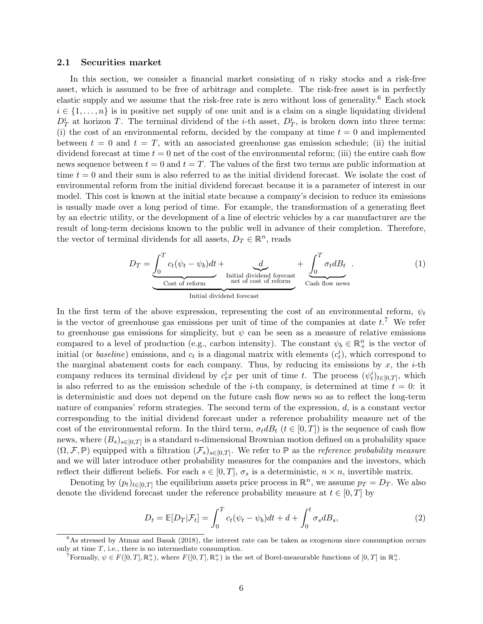#### 2.1 Securities market

In this section, we consider a financial market consisting of  $n$  risky stocks and a risk-free asset, which is assumed to be free of arbitrage and complete. The risk-free asset is in perfectly elastic supply and we assume that the risk-free rate is zero without loss of generality.[6](#page-7-0) Each stock  $i \in \{1, \ldots, n\}$  is in positive net supply of one unit and is a claim on a single liquidating dividend  $D_T^i$  at horizon T. The terminal dividend of the *i*-th asset,  $D_T^i$ , is broken down into three terms: (i) the cost of an environmental reform, decided by the company at time  $t = 0$  and implemented between  $t = 0$  and  $t = T$ , with an associated greenhouse gas emission schedule; (ii) the initial dividend forecast at time  $t = 0$  net of the cost of the environmental reform; (iii) the entire cash flow news sequence between  $t = 0$  and  $t = T$ . The values of the first two terms are public information at time  $t = 0$  and their sum is also referred to as the initial dividend forecast. We isolate the cost of environmental reform from the initial dividend forecast because it is a parameter of interest in our model. This cost is known at the initial state because a company's decision to reduce its emissions is usually made over a long period of time. For example, the transformation of a generating fleet by an electric utility, or the development of a line of electric vehicles by a car manufacturer are the result of long-term decisions known to the public well in advance of their completion. Therefore, the vector of terminal dividends for all assets,  $D_T \in \mathbb{R}^n$ , reads

<span id="page-7-3"></span>
$$
D_T = \underbrace{\int_0^T c_t (\psi_t - \psi_b) dt}_{\text{Cost of reform}} + \underbrace{\int_0^T \sigma_t dB_t}_{\text{net of cost of reform}}.
$$
\n(1)

In the first term of the above expression, representing the cost of an environmental reform,  $\psi_t$ is the vector of greenhouse gas emissions per unit of time of the companies at date  $t$ .<sup>[7](#page-7-1)</sup> We refer to greenhouse gas emissions for simplicity, but  $\psi$  can be seen as a measure of relative emissions compared to a level of production (e.g., carbon intensity). The constant  $\psi_b \in \mathbb{R}^n_+$  is the vector of initial (or *baseline*) emissions, and  $c_t$  is a diagonal matrix with elements  $(c_t^i)$ , which correspond to the marginal abatement costs for each company. Thus, by reducing its emissions by  $x$ , the *i*-th company reduces its terminal dividend by  $c_t^ix$  per unit of time t. The process  $(\psi_t^i)_{t\in[0,T]}$ , which is also referred to as the emission schedule of the *i*-th company, is determined at time  $t = 0$ : it is deterministic and does not depend on the future cash flow news so as to reflect the long-term nature of companies' reform strategies. The second term of the expression, d, is a constant vector corresponding to the initial dividend forecast under a reference probability measure net of the cost of the environmental reform. In the third term,  $\sigma_t dB_t$  ( $t \in [0,T]$ ) is the sequence of cash flow news, where  $(B_s)_{s\in[0,T]}$  is a standard *n*-dimensional Brownian motion defined on a probability space  $(\Omega, \mathcal{F}, \mathbb{P})$  equipped with a filtration  $(\mathcal{F}_s)_{s \in [0,T]}$ . We refer to  $\mathbb P$  as the *reference probability measure* and we will later introduce other probability measures for the companies and the investors, which reflect their different beliefs. For each  $s \in [0, T]$ ,  $\sigma_s$  is a deterministic,  $n \times n$ , invertible matrix.

Denoting by  $(p_t)_{t\in[0,T]}$  the equilibrium assets price process in  $\mathbb{R}^n$ , we assume  $p_T = D_T$ . We also denote the dividend forecast under the reference probability measure at  $t \in [0, T]$  by

<span id="page-7-2"></span>
$$
D_t = \mathbb{E}[D_T|\mathcal{F}_t] = \int_0^T c_t(\psi_t - \psi_b)dt + d + \int_0^t \sigma_s dB_s,
$$
\n(2)

<span id="page-7-0"></span> $6$ As stressed by [Atmaz and Basak](#page-28-10) [\(2018\)](#page-28-10), the interest rate can be taken as exogenous since consumption occurs only at time  $T$ , i.e., there is no intermediate consumption.

<span id="page-7-1"></span>Formally,  $\psi \in F([0,T], \mathbb{R}^n_+)$ , where  $F([0,T], \mathbb{R}^n_+)$  is the set of Borel-measurable functions of  $[0,T]$  in  $\mathbb{R}^n_+$ .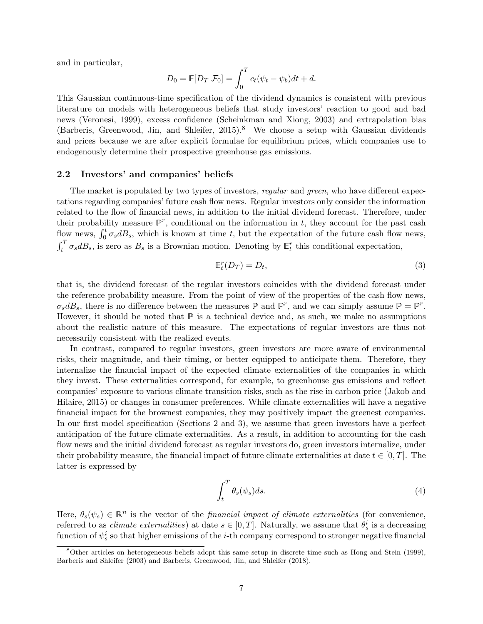and in particular,

$$
D_0 = \mathbb{E}[D_T|\mathcal{F}_0] = \int_0^T c_t(\psi_t - \psi_b)dt + d.
$$

This Gaussian continuous-time specification of the dividend dynamics is consistent with previous literature on models with heterogeneous beliefs that study investors' reaction to good and bad news [\(Veronesi,](#page-32-3) [1999\)](#page-32-3), excess confidence [\(Scheinkman and Xiong,](#page-31-11) [2003\)](#page-31-11) and extrapolation bias [\(Barberis, Greenwood, Jin, and Shleifer,](#page-28-11) [2015\)](#page-28-11).<sup>[8](#page-8-0)</sup> We choose a setup with Gaussian dividends and prices because we are after explicit formulae for equilibrium prices, which companies use to endogenously determine their prospective greenhouse gas emissions.

#### 2.2 Investors' and companies' beliefs

The market is populated by two types of investors, regular and green, who have different expectations regarding companies' future cash flow news. Regular investors only consider the information related to the flow of financial news, in addition to the initial dividend forecast. Therefore, under their probability measure  $\mathbb{P}^r$ , conditional on the information in t, they account for the past cash flow news,  $\int_0^t \sigma_s dB_s$ , which is known at time t, but the expectation of the future cash flow news,  $\int_t^T \sigma_s dB_s$ , is zero as  $B_s$  is a Brownian motion. Denoting by  $\mathbb{E}_t^r$  this conditional expectation,

<span id="page-8-1"></span>
$$
\mathbb{E}_t^r(D_T) = D_t,\tag{3}
$$

that is, the dividend forecast of the regular investors coincides with the dividend forecast under the reference probability measure. From the point of view of the properties of the cash flow news,  $\sigma_s dB_s$ , there is no difference between the measures  $\mathbb P$  and  $\mathbb P^r$ , and we can simply assume  $\mathbb P = \mathbb P^r$ . However, it should be noted that  $\mathbb P$  is a technical device and, as such, we make no assumptions about the realistic nature of this measure. The expectations of regular investors are thus not necessarily consistent with the realized events.

In contrast, compared to regular investors, green investors are more aware of environmental risks, their magnitude, and their timing, or better equipped to anticipate them. Therefore, they internalize the financial impact of the expected climate externalities of the companies in which they invest. These externalities correspond, for example, to greenhouse gas emissions and reflect companies' exposure to various climate transition risks, such as the rise in carbon price [\(Jakob and](#page-30-1) [Hilaire,](#page-30-1) [2015\)](#page-30-1) or changes in consumer preferences. While climate externalities will have a negative financial impact for the brownest companies, they may positively impact the greenest companies. In our first model specification (Sections [2](#page-6-0) and [3\)](#page-11-0), we assume that green investors have a perfect anticipation of the future climate externalities. As a result, in addition to accounting for the cash flow news and the initial dividend forecast as regular investors do, green investors internalize, under their probability measure, the financial impact of future climate externalities at date  $t \in [0, T]$ . The latter is expressed by

$$
\int_{t}^{T} \theta_{s}(\psi_{s}) ds.
$$
 (4)

Here,  $\theta_s(\psi_s) \in \mathbb{R}^n$  is the vector of the *financial impact of climate externalities* (for convenience, referred to as *climate externalities*) at date  $s \in [0, T]$ . Naturally, we assume that  $\theta_s^i$  is a decreasing function of  $\psi_s^i$  so that higher emissions of the *i*-th company correspond to stronger negative financial

<span id="page-8-0"></span><sup>8</sup>Other articles on heterogeneous beliefs adopt this same setup in discrete time such as [Hong and Stein](#page-30-8) [\(1999\)](#page-30-8), [Barberis and Shleifer](#page-28-12) [\(2003\)](#page-28-12) and [Barberis, Greenwood, Jin, and Shleifer](#page-28-13) [\(2018\)](#page-28-13).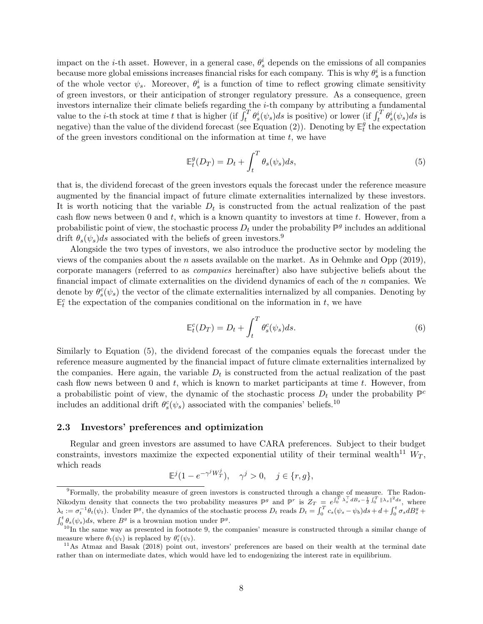impact on the *i*-th asset. However, in a general case,  $\theta_s^i$  depends on the emissions of all companies because more global emissions increases financial risks for each company. This is why  $\theta_s^i$  is a function of the whole vector  $\psi_s$ . Moreover,  $\theta_s^i$  is a function of time to reflect growing climate sensitivity of green investors, or their anticipation of stronger regulatory pressure. As a consequence, green investors internalize their climate beliefs regarding the i-th company by attributing a fundamental value to the *i*-th stock at time t that is higher (if  $\int_t^T \theta_s^i(\psi_s) ds$  is positive) or lower (if  $\int_t^T \theta_s^i(\psi_s) ds$  is negative) than the value of the dividend forecast (see Equation [\(2\)](#page-7-2)). Denoting by  $\mathbb{E}_{t}^{\hat{g}}$  $_t^g$  the expectation of the green investors conditional on the information at time  $t$ , we have

<span id="page-9-1"></span>
$$
\mathbb{E}_t^g(D_T) = D_t + \int_t^T \theta_s(\psi_s)ds,\tag{5}
$$

that is, the dividend forecast of the green investors equals the forecast under the reference measure augmented by the financial impact of future climate externalities internalized by these investors. It is worth noticing that the variable  $D_t$  is constructed from the actual realization of the past cash flow news between 0 and t, which is a known quantity to investors at time t. However, from a probabilistic point of view, the stochastic process  $D_t$  under the probability  $\mathbb{P}^g$  includes an additional drift  $\theta_s(\psi_s)ds$  associated with the beliefs of green investors.<sup>[9](#page-9-0)</sup>

Alongside the two types of investors, we also introduce the productive sector by modeling the views of the companies about the n assets available on the market. As in [Oehmke and Opp](#page-31-10) [\(2019\)](#page-31-10), corporate managers (referred to as companies hereinafter) also have subjective beliefs about the financial impact of climate externalities on the dividend dynamics of each of the  $n$  companies. We denote by  $\theta_s^c(\psi_s)$  the vector of the climate externalities internalized by all companies. Denoting by  $\mathbb{E}_t^c$  the expectation of the companies conditional on the information in t, we have

<span id="page-9-4"></span>
$$
\mathbb{E}_t^c(D_T) = D_t + \int_t^T \theta_s^c(\psi_s)ds.
$$
\n(6)

Similarly to Equation [\(5\)](#page-9-1), the dividend forecast of the companies equals the forecast under the reference measure augmented by the financial impact of future climate externalities internalized by the companies. Here again, the variable  $D_t$  is constructed from the actual realization of the past cash flow news between  $0$  and  $t$ , which is known to market participants at time  $t$ . However, from a probabilistic point of view, the dynamic of the stochastic process  $D_t$  under the probability  $\mathbb{P}^c$ includes an additional drift  $\theta_s^c(\psi_s)$  associated with the companies' beliefs.<sup>[10](#page-9-2)</sup>

#### 2.3 Investors' preferences and optimization

Regular and green investors are assumed to have CARA preferences. Subject to their budget constraints, investors maximize the expected exponential utility of their terminal wealth<sup>[11](#page-9-3)</sup>  $W_T$ , which reads

$$
\mathbb{E}^j(1-e^{-\gamma^j W_T^j}), \quad \gamma^j>0, \quad j\in \{r,g\},
$$

<span id="page-9-0"></span><sup>9</sup>Formally, the probability measure of green investors is constructed through a change of measure. The Radon-Nikodym density that connects the two probability measures  $\mathbb{P}^g$  and  $\mathbb{P}^r$  is  $Z_T = e^{\int_0^T \lambda_s^{\top} dB_s - \frac{1}{2} \int_0^T ||\lambda_s||^2 ds}$ , where  $\lambda_t := \sigma_t^{-1} \theta_t(\psi_t)$ . Under  $\mathbb{P}^g$ , the dynamics of the stochastic process  $D_t$  reads  $D_t = \int_0^T c_s(\psi_s - \psi_b) ds + d + \int_0^t \sigma_s dB_s^g +$  $\int_0^t \theta_s(\psi_s) ds$ , where  $B^g$  is a brownian motion under  $\mathbb{P}^g$ .

<span id="page-9-2"></span> $10$ In the same way as presented in footnote [9,](#page-9-0) the companies' measure is constructed through a similar change of measure where  $\theta_t(\psi_t)$  is replaced by  $\theta_t^c(\psi_t)$ .

<span id="page-9-3"></span><sup>&</sup>lt;sup>11</sup>As [Atmaz and Basak](#page-28-10) [\(2018\)](#page-28-10) point out, investors' preferences are based on their wealth at the terminal date rather than on intermediate dates, which would have led to endogenizing the interest rate in equilibrium.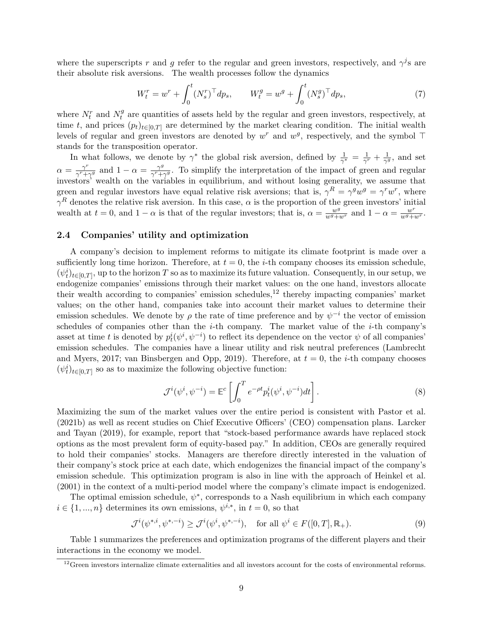where the superscripts r and g refer to the regular and green investors, respectively, and  $\gamma^j$ s are their absolute risk aversions. The wealth processes follow the dynamics

<span id="page-10-2"></span>
$$
W_t^r = w^r + \int_0^t (N_s^r)^\top dp_s, \qquad W_t^g = w^g + \int_0^t (N_s^g)^\top dp_s,\tag{7}
$$

where  $N_t^r$  and  $N_t^g$  $t<sub>t</sub><sup>g</sup>$  are quantities of assets held by the regular and green investors, respectively, at time t, and prices  $(p_t)_{t\in[0,T]}$  are determined by the market clearing condition. The initial wealth levels of regular and green investors are denoted by  $w^r$  and  $w^g$ , respectively, and the symbol  $\top$ stands for the transposition operator.

In what follows, we denote by  $\gamma^*$  the global risk aversion, defined by  $\frac{1}{\gamma^*} = \frac{1}{\gamma^0}$  $\frac{1}{\gamma^r}+\frac{1}{\gamma^t}$  $\frac{1}{\gamma^g}$ , and set  $\alpha = \frac{\gamma^r}{\gamma^r + \gamma^r}$  $\frac{\gamma^r}{\gamma^r+\gamma^g}$  and  $1-\alpha=\frac{\gamma^g}{\gamma^r+\gamma^g}$  $\frac{\gamma^9}{\gamma^r+\gamma^9}$ . To simplify the interpretation of the impact of green and regular investors' wealth on the variables in equilibrium, and without losing generality, we assume that green and regular investors have equal relative risk aversions; that is,  $\gamma^R = \gamma^g w^g = \gamma^r w^r$ , where  $\gamma^R$  denotes the relative risk aversion. In this case,  $\alpha$  is the proportion of the green investors' initial wealth at  $t = 0$ , and  $1 - \alpha$  is that of the regular investors; that is,  $\alpha = \frac{w^g}{w^g + w^r}$  and  $1 - \alpha = \frac{w^r}{w^g + w^r}$ .

#### 2.4 Companies' utility and optimization

A company's decision to implement reforms to mitigate its climate footprint is made over a sufficiently long time horizon. Therefore, at  $t = 0$ , the *i*-th company chooses its emission schedule,  $(\psi_t^i)_{t\in[0,T]}$ , up to the horizon T so as to maximize its future valuation. Consequently, in our setup, we endogenize companies' emissions through their market values: on the one hand, investors allocate their wealth according to companies' emission schedules, $^{12}$  $^{12}$  $^{12}$  thereby impacting companies' market values; on the other hand, companies take into account their market values to determine their emission schedules. We denote by  $\rho$  the rate of time preference and by  $\psi^{-i}$  the vector of emission schedules of companies other than the *i*-th company. The market value of the *i*-th company's asset at time t is denoted by  $p_t^i(\psi^i, \psi^{-i})$  to reflect its dependence on the vector  $\psi$  of all companies' emission schedules. The companies have a linear utility and risk neutral preferences [\(Lambrecht](#page-30-9) [and Myers,](#page-30-9) [2017;](#page-30-9) [van Binsbergen and Opp,](#page-31-12) [2019\)](#page-31-12). Therefore, at  $t = 0$ , the *i*-th company chooses  $(\psi_t^i)_{t \in [0,T]}$  so as to maximize the following objective function:

<span id="page-10-1"></span>
$$
\mathcal{J}^{i}(\psi^{i}, \psi^{-i}) = \mathbb{E}^{c} \left[ \int_{0}^{T} e^{-\rho t} p_{t}^{i}(\psi^{i}, \psi^{-i}) dt \right]. \tag{8}
$$

Maximizing the sum of the market values over the entire period is consistent with [Pastor et al.](#page-31-1) [\(2021b\)](#page-31-1) as well as recent studies on Chief Executive Officers' (CEO) compensation plans. [Larcker](#page-30-10) [and Tayan](#page-30-10) [\(2019\)](#page-30-10), for example, report that "stock-based performance awards have replaced stock options as the most prevalent form of equity-based pay." In addition, CEOs are generally required to hold their companies' stocks. Managers are therefore directly interested in the valuation of their company's stock price at each date, which endogenizes the financial impact of the company's emission schedule. This optimization program is also in line with the approach of [Heinkel et al.](#page-30-0) [\(2001\)](#page-30-0) in the context of a multi-period model where the company's climate impact is endogenized.

The optimal emission schedule,  $\psi^*$ , corresponds to a Nash equilibrium in which each company  $i \in \{1, ..., n\}$  determines its own emissions,  $\psi^{i,*}$ , in  $t = 0$ , so that

$$
\mathcal{J}^{i}(\psi^{*,i}, \psi^{*,-i}) \ge \mathcal{J}^{i}(\psi^{i}, \psi^{*,-i}), \quad \text{for all } \psi^{i} \in F([0,T], \mathbb{R}_{+}). \tag{9}
$$

Table [1](#page-11-1) summarizes the preferences and optimization programs of the different players and their interactions in the economy we model.

<span id="page-10-0"></span><sup>&</sup>lt;sup>12</sup>Green investors internalize climate externalities and all investors account for the costs of environmental reforms.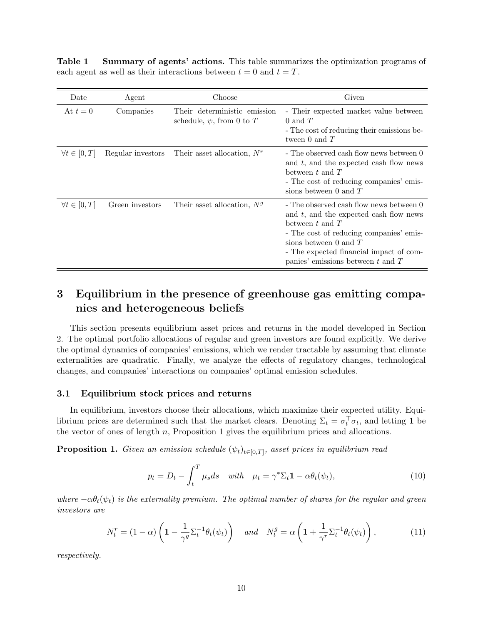<span id="page-11-1"></span>Table 1 Summary of agents' actions. This table summarizes the optimization programs of each agent as well as their interactions between  $t = 0$  and  $t = T$ .

| Date                   | Agent             | Choose                                                         | Given                                                                                                                                                                                                                                                               |
|------------------------|-------------------|----------------------------------------------------------------|---------------------------------------------------------------------------------------------------------------------------------------------------------------------------------------------------------------------------------------------------------------------|
| At $t=0$               | Companies         | Their deterministic emission<br>schedule, $\psi$ , from 0 to T | - Their expected market value between<br>$0$ and $T$<br>- The cost of reducing their emissions be-<br>tween 0 and $T$                                                                                                                                               |
| $\forall t \in [0, T]$ | Regular investors | Their asset allocation, $N^r$                                  | - The observed cash flow news between 0<br>and t, and the expected cash flow news<br>between t and $T$<br>- The cost of reducing companies' emis-<br>sions between 0 and $T$                                                                                        |
| $\forall t \in [0, T]$ | Green investors   | Their asset allocation, $Ng$                                   | - The observed cash flow news between 0<br>and $t$ , and the expected cash flow news<br>between t and $T$<br>- The cost of reducing companies' emis-<br>sions between 0 and $T$<br>- The expected financial impact of com-<br>panies' emissions between $t$ and $T$ |

## <span id="page-11-0"></span>3 Equilibrium in the presence of greenhouse gas emitting companies and heterogeneous beliefs

This section presents equilibrium asset prices and returns in the model developed in Section [2.](#page-6-0) The optimal portfolio allocations of regular and green investors are found explicitly. We derive the optimal dynamics of companies' emissions, which we render tractable by assuming that climate externalities are quadratic. Finally, we analyze the effects of regulatory changes, technological changes, and companies' interactions on companies' optimal emission schedules.

#### 3.1 Equilibrium stock prices and returns

In equilibrium, investors choose their allocations, which maximize their expected utility. Equilibrium prices are determined such that the market clears. Denoting  $\Sigma_t = \sigma_t^{\top} \sigma_t$ , and letting 1 be the vector of ones of length  $n$ , Proposition [1](#page-11-2) gives the equilibrium prices and allocations.

<span id="page-11-2"></span>**Proposition 1.** Given an emission schedule  $(\psi_t)_{t \in [0,T]}$ , asset prices in equilibrium read

<span id="page-11-4"></span><span id="page-11-3"></span>
$$
p_t = D_t - \int_t^T \mu_s ds \quad with \quad \mu_t = \gamma^* \Sigma_t \mathbf{1} - \alpha \theta_t(\psi_t), \tag{10}
$$

where  $-\alpha \theta_t(\psi_t)$  is the externality premium. The optimal number of shares for the regular and green investors are

$$
N_t^r = (1 - \alpha) \left( 1 - \frac{1}{\gamma^g} \Sigma_t^{-1} \theta_t(\psi_t) \right) \quad \text{and} \quad N_t^g = \alpha \left( 1 + \frac{1}{\gamma^r} \Sigma_t^{-1} \theta_t(\psi_t) \right), \tag{11}
$$

respectively.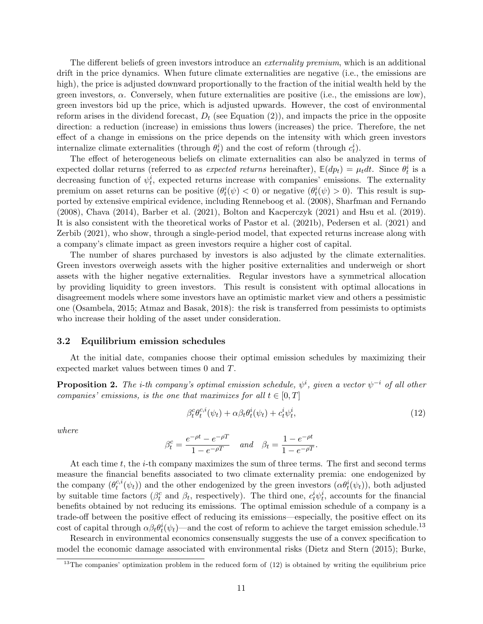The different beliefs of green investors introduce an *externality premium*, which is an additional drift in the price dynamics. When future climate externalities are negative (i.e., the emissions are high), the price is adjusted downward proportionally to the fraction of the initial wealth held by the green investors,  $\alpha$ . Conversely, when future externalities are positive (i.e., the emissions are low), green investors bid up the price, which is adjusted upwards. However, the cost of environmental reform arises in the dividend forecast,  $D_t$  (see Equation [\(2\)](#page-7-2)), and impacts the price in the opposite direction: a reduction (increase) in emissions thus lowers (increases) the price. Therefore, the net effect of a change in emissions on the price depends on the intensity with which green investors internalize climate externalities (through  $\theta_t^i$ ) and the cost of reform (through  $c_t^i$ ).

The effect of heterogeneous beliefs on climate externalities can also be analyzed in terms of expected dollar returns (referred to as *expected returns* hereinafter),  $\mathbb{E}(dp_t) = \mu_t dt$ . Since  $\theta_t^i$  is a decreasing function of  $\psi_t^i$ , expected returns increase with companies' emissions. The externality premium on asset returns can be positive  $(\theta_t^i(\psi) < 0)$  or negative  $(\theta_t^i(\psi) > 0)$ . This result is supported by extensive empirical evidence, including [Renneboog et al.](#page-31-5) [\(2008\)](#page-31-5), [Sharfman and Fernando](#page-31-6) [\(2008\)](#page-31-6), [Chava](#page-29-4) [\(2014\)](#page-29-4), [Barber et al.](#page-28-5) [\(2021\)](#page-28-5), [Bolton and Kacperczyk](#page-28-3) [\(2021\)](#page-28-3) and [Hsu et al.](#page-30-5) [\(2019\)](#page-30-5). It is also consistent with the theoretical works of [Pastor et al.](#page-31-1) [\(2021b\)](#page-31-1), [Pedersen et al.](#page-31-2) [\(2021\)](#page-31-2) and [Zerbib](#page-32-0) [\(2021\)](#page-32-0), who show, through a single-period model, that expected returns increase along with a company's climate impact as green investors require a higher cost of capital.

The number of shares purchased by investors is also adjusted by the climate externalities. Green investors overweigh assets with the higher positive externalities and underweigh or short assets with the higher negative externalities. Regular investors have a symmetrical allocation by providing liquidity to green investors. This result is consistent with optimal allocations in disagreement models where some investors have an optimistic market view and others a pessimistic one [\(Osambela,](#page-31-13) [2015;](#page-31-13) [Atmaz and Basak,](#page-28-10) [2018\)](#page-28-10): the risk is transferred from pessimists to optimists who increase their holding of the asset under consideration.

#### <span id="page-12-3"></span>3.2 Equilibrium emission schedules

At the initial date, companies choose their optimal emission schedules by maximizing their expected market values between times 0 and T.

<span id="page-12-2"></span>**Proposition 2.** The i-th company's optimal emission schedule,  $\psi^i$ , given a vector  $\psi^{-i}$  of all other companies' emissions, is the one that maximizes for all  $t \in [0, T]$ 

<span id="page-12-1"></span>
$$
\beta_t^c \theta_t^{c,i}(\psi_t) + \alpha \beta_t \theta_t^i(\psi_t) + c_t^i \psi_t^i, \tag{12}
$$

where

$$
\beta_t^c = \frac{e^{-\rho t} - e^{-\rho T}}{1 - e^{-\rho T}} \quad \text{and} \quad \beta_t = \frac{1 - e^{-\rho t}}{1 - e^{-\rho T}}.
$$

At each time  $t$ , the *i*-th company maximizes the sum of three terms. The first and second terms measure the financial benefits associated to two climate externality premia: one endogenized by the company  $(\theta_t^{c,i})$  $t^{c,i}(\psi_t)$  and the other endogenized by the green investors  $(\alpha \theta_t^i(\psi_t))$ , both adjusted by suitable time factors ( $\beta_t^c$  and  $\beta_t$ , respectively). The third one,  $c_t^i \psi_t^i$ , accounts for the financial benefits obtained by not reducing its emissions. The optimal emission schedule of a company is a trade-off between the positive effect of reducing its emissions—especially, the positive effect on its cost of capital through  $\alpha \beta_t \theta_t^i(\psi_t)$ —and the cost of reform to achieve the target emission schedule.<sup>[13](#page-12-0)</sup>

Research in environmental economics consensually suggests the use of a convex specification to model the economic damage associated with environmental risks [\(Dietz and Stern](#page-29-10) [\(2015\)](#page-29-10); [Burke,](#page-28-14)

<span id="page-12-0"></span> $13$ The companies' optimization problem in the reduced form of  $(12)$  is obtained by writing the equilibrium price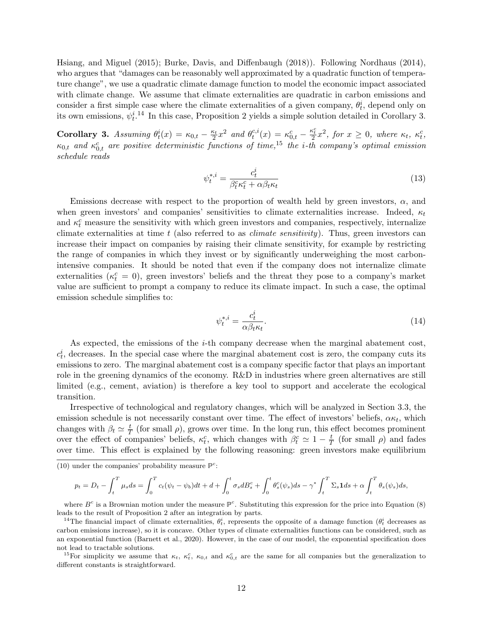[Hsiang, and Miguel](#page-28-14) [\(2015\)](#page-28-14); [Burke, Davis, and Diffenbaugh](#page-28-15) [\(2018\)](#page-28-15)). Following [Nordhaus](#page-30-11) [\(2014\)](#page-30-11), who argues that "damages can be reasonably well approximated by a quadratic function of temperature change", we use a quadratic climate damage function to model the economic impact associated with climate change. We assume that climate externalities are quadratic in carbon emissions and consider a first simple case where the climate externalities of a given company,  $\theta_t^i$ , depend only on its own emissions,  $\psi_t^{i,14}$  $\psi_t^{i,14}$  $\psi_t^{i,14}$  In this case, Proposition [2](#page-12-2) yields a simple solution detailed in Corollary [3.](#page-13-1)

<span id="page-13-1"></span>**Corollary 3.** Assuming  $\theta_t^i(x) = \kappa_{0,t} - \frac{\kappa_t}{2}x^2$  and  $\theta_t^{c,i}$  $t^{c,i}(x) = \kappa_{0,t}^c - \frac{\kappa_t^c}{2}x^2$ , for  $x \geq 0$ , where  $\kappa_t$ ,  $\kappa_t^c$ ,  $\kappa_{0,t}$  and  $\kappa_{0,t}^c$  are positive deterministic functions of time, <sup>[15](#page-13-2)</sup> the i-th company's optimal emission schedule reads

<span id="page-13-3"></span>
$$
\psi_t^{*,i} = \frac{c_t^i}{\beta_t^c \kappa_t^c + \alpha \beta_t \kappa_t} \tag{13}
$$

Emissions decrease with respect to the proportion of wealth held by green investors,  $\alpha$ , and when green investors' and companies' sensitivities to climate externalities increase. Indeed,  $\kappa_t$ and  $\kappa_t^c$  measure the sensitivity with which green investors and companies, respectively, internalize climate externalities at time  $t$  (also referred to as *climate sensitivity*). Thus, green investors can increase their impact on companies by raising their climate sensitivity, for example by restricting the range of companies in which they invest or by significantly underweighing the most carbonintensive companies. It should be noted that even if the company does not internalize climate externalities ( $\kappa_t^c = 0$ ), green investors' beliefs and the threat they pose to a company's market value are sufficient to prompt a company to reduce its climate impact. In such a case, the optimal emission schedule simplifies to:

$$
\psi_t^{*,i} = \frac{c_t^i}{\alpha \beta_t \kappa_t}.\tag{14}
$$

As expected, the emissions of the  $i$ -th company decrease when the marginal abatement cost,  $c_t^i$ , decreases. In the special case where the marginal abatement cost is zero, the company cuts its emissions to zero. The marginal abatement cost is a company specific factor that plays an important role in the greening dynamics of the economy. R&D in industries where green alternatives are still limited (e.g., cement, aviation) is therefore a key tool to support and accelerate the ecological transition.

Irrespective of technological and regulatory changes, which will be analyzed in Section [3.3,](#page-16-0) the emission schedule is not necessarily constant over time. The effect of investors' beliefs,  $\alpha \kappa_t$ , which changes with  $\beta_t \simeq \frac{t}{l}$  $\frac{t}{T}$  (for small  $\rho$ ), grows over time. In the long run, this effect becomes prominent over the effect of companies' beliefs,  $\kappa_t^c$ , which changes with  $\beta_t^c \simeq 1 - \frac{t}{T}$  $\frac{t}{T}$  (for small  $\rho$ ) and fades over time. This effect is explained by the following reasoning: green investors make equilibrium

$$
p_t = D_t - \int_t^T \mu_s ds = \int_0^T c_t (\psi_t - \psi_b) dt + d + \int_0^t \sigma_s dB_s^c + \int_0^t \theta_s^c (\psi_s) ds - \gamma^* \int_t^T \Sigma_s \mathbf{1} ds + \alpha \int_t^T \theta_s (\psi_s) ds,
$$

where  $B^c$  is a Brownian motion under the measure  $\mathbb{P}^c$ . Substituting this expression for the price into Equation [\(8\)](#page-10-1) leads to the result of Proposition [2](#page-12-2) after an integration by parts.

[<sup>\(10\)</sup>](#page-11-3) under the companies' probability measure  $\mathbb{P}^c$ :

<span id="page-13-0"></span><sup>&</sup>lt;sup>14</sup>The financial impact of climate externalities,  $\theta_t^i$ , represents the opposite of a damage function  $(\theta_t^i$  decreases as carbon emissions increase), so it is concave. Other types of climate externalities functions can be considered, such as an exponential function [\(Barnett et al.,](#page-28-1) [2020\)](#page-28-1). However, in the case of our model, the exponential specification does not lead to tractable solutions.

<span id="page-13-2"></span><sup>&</sup>lt;sup>15</sup>For simplicity we assume that  $\kappa_t$ ,  $\kappa_t^c$ ,  $\kappa_{0,t}$  and  $\kappa_{0,t}^c$  are the same for all companies but the generalization to different constants is straightforward.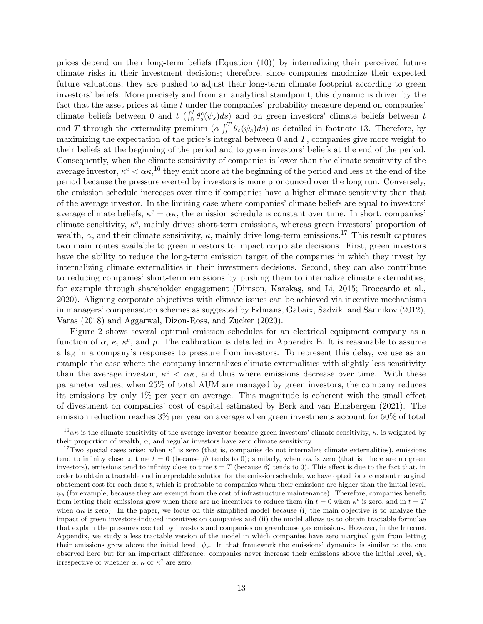prices depend on their long-term beliefs (Equation [\(10\)](#page-11-3)) by internalizing their perceived future climate risks in their investment decisions; therefore, since companies maximize their expected future valuations, they are pushed to adjust their long-term climate footprint according to green investors' beliefs. More precisely and from an analytical standpoint, this dynamic is driven by the fact that the asset prices at time  $t$  under the companies' probability measure depend on companies' climate beliefs between 0 and t  $(\int_0^t \theta_s^c(\psi_s) ds)$  and on green investors' climate beliefs between t and T through the externality premium  $(\alpha \int_t^T \theta_s(\psi_s) ds)$  as detailed in footnote [13.](#page-12-0) Therefore, by maximizing the expectation of the price's integral between  $0$  and  $T$ , companies give more weight to their beliefs at the beginning of the period and to green investors' beliefs at the end of the period. Consequently, when the climate sensitivity of companies is lower than the climate sensitivity of the average investor,  $\kappa^c < \alpha \kappa$ , <sup>[16](#page-14-0)</sup> they emit more at the beginning of the period and less at the end of the period because the pressure exerted by investors is more pronounced over the long run. Conversely, the emission schedule increases over time if companies have a higher climate sensitivity than that of the average investor. In the limiting case where companies' climate beliefs are equal to investors' average climate beliefs,  $\kappa^c = \alpha \kappa$ , the emission schedule is constant over time. In short, companies' climate sensitivity,  $\kappa^c$ , mainly drives short-term emissions, whereas green investors' proportion of wealth,  $\alpha$ , and their climate sensitivity,  $\kappa$ , mainly drive long-term emissions.<sup>[17](#page-14-1)</sup> This result captures two main routes available to green investors to impact corporate decisions. First, green investors have the ability to reduce the long-term emission target of the companies in which they invest by internalizing climate externalities in their investment decisions. Second, they can also contribute to reducing companies' short-term emissions by pushing them to internalize climate externalities, for example through shareholder engagement (Dimson, Karakaş, and Li, [2015;](#page-29-11) [Broccardo et al.,](#page-28-2) [2020\)](#page-28-2). Aligning corporate objectives with climate issues can be achieved via incentive mechanisms in managers' compensation schemes as suggested by [Edmans, Gabaix, Sadzik, and Sannikov](#page-29-12) [\(2012\)](#page-29-12), [Varas](#page-32-4) [\(2018\)](#page-32-4) and [Aggarwal, Dizon-Ross, and Zucker](#page-27-1) [\(2020\)](#page-27-1).

Figure [2](#page-15-0) shows several optimal emission schedules for an electrical equipment company as a function of  $\alpha$ ,  $\kappa$ ,  $\kappa^c$ , and  $\rho$ . The calibration is detailed in Appendix B. It is reasonable to assume a lag in a company's responses to pressure from investors. To represent this delay, we use as an example the case where the company internalizes climate externalities with slightly less sensitivity than the average investor,  $\kappa^c < \alpha \kappa$ , and thus where emissions decrease over time. With these parameter values, when 25% of total AUM are managed by green investors, the company reduces its emissions by only 1% per year on average. This magnitude is coherent with the small effect of divestment on companies' cost of capital estimated by [Berk and van Binsbergen](#page-28-0) [\(2021\)](#page-28-0). The emission reduction reaches 3% per year on average when green investments account for 50% of total

<span id="page-14-0"></span><sup>&</sup>lt;sup>16</sup> $\alpha$ κ is the climate sensitivity of the average investor because green investors' climate sensitivity, κ, is weighted by their proportion of wealth,  $\alpha$ , and regular investors have zero climate sensitivity.

<span id="page-14-1"></span><sup>&</sup>lt;sup>17</sup>Two special cases arise: when  $\kappa^c$  is zero (that is, companies do not internalize climate externalities), emissions tend to infinity close to time  $t = 0$  (because  $\beta_t$  tends to 0); similarly, when  $\alpha \kappa$  is zero (that is, there are no green investors), emissions tend to infinity close to time  $t = T$  (because  $\beta_t^c$  tends to 0). This effect is due to the fact that, in order to obtain a tractable and interpretable solution for the emission schedule, we have opted for a constant marginal abatement cost for each date  $t$ , which is profitable to companies when their emissions are higher than the initial level,  $\psi_b$  (for example, because they are exempt from the cost of infrastructure maintenance). Therefore, companies benefit from letting their emissions grow when there are no incentives to reduce them (in  $t=0$  when  $\kappa^c$  is zero, and in  $t=T$ when  $\alpha$  is zero). In the paper, we focus on this simplified model because (i) the main objective is to analyze the impact of green investors-induced incentives on companies and (ii) the model allows us to obtain tractable formulae that explain the pressures exerted by investors and companies on greenhouse gas emissions. However, in the Internet Appendix, we study a less tractable version of the model in which companies have zero marginal gain from letting their emissions grow above the initial level,  $\psi_b$ . In that framework the emissions' dynamics is similar to the one observed here but for an important difference: companies never increase their emissions above the initial level,  $\psi_b$ , irrespective of whether  $\alpha$ ,  $\kappa$  or  $\kappa^c$  are zero.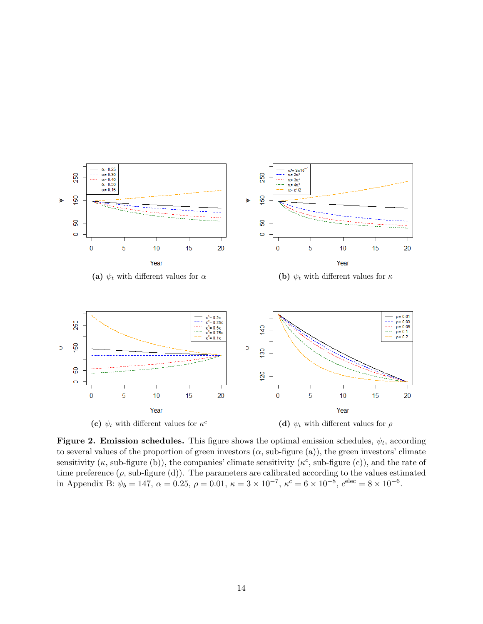<span id="page-15-0"></span>

Figure 2. Emission schedules. This figure shows the optimal emission schedules,  $\psi_t$ , according to several values of the proportion of green investors  $(\alpha, \text{sub-figure} (a))$ , the green investors' climate sensitivity  $(\kappa, \text{sub-figure (b)})$ , the companies' climate sensitivity  $(\kappa^c, \text{sub-figure (c)})$ , and the rate of time preference  $(\rho, \text{sub-figure (d)})$ . The parameters are calibrated according to the values estimated in Appendix B:  $\psi_b = 147$ ,  $\alpha = 0.25$ ,  $\rho = 0.01$ ,  $\kappa = 3 \times 10^{-7}$ ,  $\kappa^c = 6 \times 10^{-8}$ ,  $c^{\text{elec}} = 8 \times 10^{-6}$ .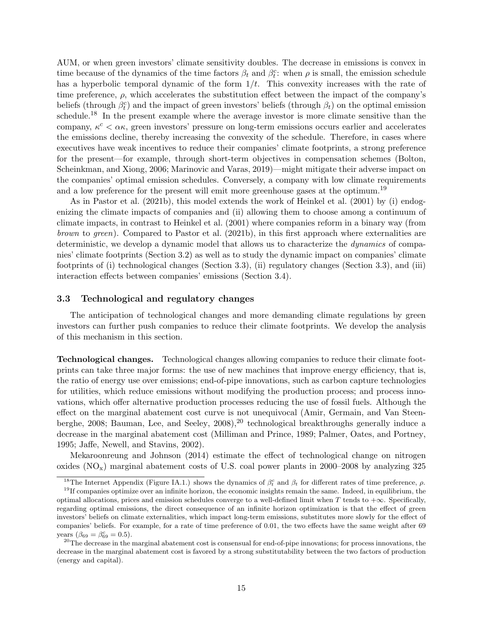AUM, or when green investors' climate sensitivity doubles. The decrease in emissions is convex in time because of the dynamics of the time factors  $\beta_t$  and  $\beta_t^c$ : when  $\rho$  is small, the emission schedule has a hyperbolic temporal dynamic of the form  $1/t$ . This convexity increases with the rate of time preference,  $\rho$ , which accelerates the substitution effect between the impact of the company's beliefs (through  $\beta_t^c$ ) and the impact of green investors' beliefs (through  $\beta_t$ ) on the optimal emission schedule.<sup>[18](#page-16-1)</sup> In the present example where the average investor is more climate sensitive than the company,  $\kappa^c < \alpha \kappa$ , green investors' pressure on long-term emissions occurs earlier and accelerates the emissions decline, thereby increasing the convexity of the schedule. Therefore, in cases where executives have weak incentives to reduce their companies' climate footprints, a strong preference for the present—for example, through short-term objectives in compensation schemes [\(Bolton,](#page-28-16) [Scheinkman, and Xiong,](#page-28-16) [2006;](#page-28-16) [Marinovic and Varas,](#page-30-12) [2019\)](#page-30-12)—might mitigate their adverse impact on the companies' optimal emission schedules. Conversely, a company with low climate requirements and a low preference for the present will emit more greenhouse gases at the optimum.<sup>[19](#page-16-2)</sup>

As in [Pastor et al.](#page-31-1) [\(2021b\)](#page-31-1), this model extends the work of [Heinkel et al.](#page-30-0) [\(2001\)](#page-30-0) by (i) endogenizing the climate impacts of companies and (ii) allowing them to choose among a continuum of climate impacts, in contrast to [Heinkel et al.](#page-30-0) [\(2001\)](#page-30-0) where companies reform in a binary way (from brown to green). Compared to [Pastor et al.](#page-31-1) [\(2021b\)](#page-31-1), in this first approach where externalities are deterministic, we develop a dynamic model that allows us to characterize the dynamics of companies' climate footprints (Section [3.2\)](#page-12-3) as well as to study the dynamic impact on companies' climate footprints of (i) technological changes (Section [3.3\)](#page-16-0), (ii) regulatory changes (Section [3.3\)](#page-16-0), and (iii) interaction effects between companies' emissions (Section [3.4\)](#page-19-0).

#### <span id="page-16-0"></span>3.3 Technological and regulatory changes

The anticipation of technological changes and more demanding climate regulations by green investors can further push companies to reduce their climate footprints. We develop the analysis of this mechanism in this section.

Technological changes. Technological changes allowing companies to reduce their climate footprints can take three major forms: the use of new machines that improve energy efficiency, that is, the ratio of energy use over emissions; end-of-pipe innovations, such as carbon capture technologies for utilities, which reduce emissions without modifying the production process; and process innovations, which offer alternative production processes reducing the use of fossil fuels. Although the effect on the marginal abatement cost curve is not unequivocal [\(Amir, Germain, and Van Steen](#page-27-2)[berghe,](#page-27-2) [2008;](#page-27-2) [Bauman, Lee, and Seeley,](#page-28-17) [2008\)](#page-28-17),<sup>[20](#page-16-3)</sup> technological breakthroughs generally induce a decrease in the marginal abatement cost [\(Milliman and Prince,](#page-30-13) [1989;](#page-30-13) [Palmer, Oates, and Portney,](#page-31-14) [1995;](#page-31-14) [Jaffe, Newell, and Stavins,](#page-30-14) [2002\)](#page-30-14).

[Mekaroonreung and Johnson](#page-30-15) [\(2014\)](#page-30-15) estimate the effect of technological change on nitrogen oxides  $(NO_x)$  marginal abatement costs of U.S. coal power plants in 2000–2008 by analyzing 325

<span id="page-16-2"></span><span id="page-16-1"></span><sup>&</sup>lt;sup>18</sup>The Internet Appendix (Figure IA.1.) shows the dynamics of  $\beta_t^c$  and  $\beta_t$  for different rates of time preference,  $\rho$ .

 $19$ If companies optimize over an infinite horizon, the economic insights remain the same. Indeed, in equilibrium, the optimal allocations, prices and emission schedules converge to a well-defined limit when T tends to  $+\infty$ . Specifically, regarding optimal emissions, the direct consequence of an infinite horizon optimization is that the effect of green investors' beliefs on climate externalities, which impact long-term emissions, substitutes more slowly for the effect of companies' beliefs. For example, for a rate of time preference of 0.01, the two effects have the same weight after 69 years  $(\beta_{69} = \beta_{69}^c = 0.5)$ .

<span id="page-16-3"></span><sup>&</sup>lt;sup>20</sup>The decrease in the marginal abatement cost is consensual for end-of-pipe innovations; for process innovations, the decrease in the marginal abatement cost is favored by a strong substitutability between the two factors of production (energy and capital).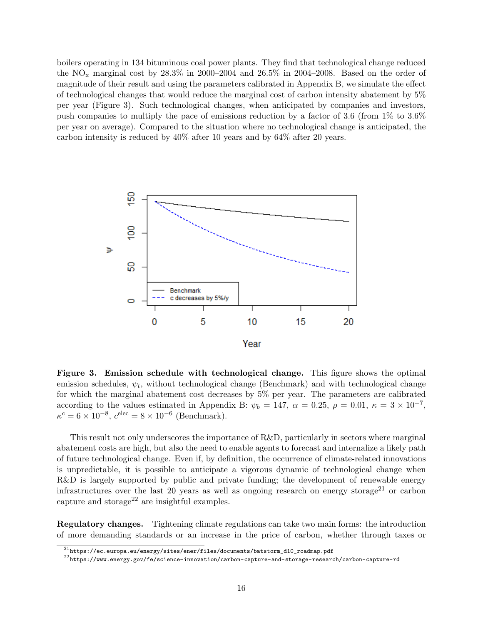boilers operating in 134 bituminous coal power plants. They find that technological change reduced the  $NO_x$  marginal cost by 28.3% in 2000–2004 and 26.5% in 2004–2008. Based on the order of magnitude of their result and using the parameters calibrated in Appendix B, we simulate the effect of technological changes that would reduce the marginal cost of carbon intensity abatement by 5% per year (Figure [3\)](#page-17-0). Such technological changes, when anticipated by companies and investors, push companies to multiply the pace of emissions reduction by a factor of 3.6 (from 1% to 3.6% per year on average). Compared to the situation where no technological change is anticipated, the carbon intensity is reduced by 40% after 10 years and by 64% after 20 years.

<span id="page-17-0"></span>

Figure 3. Emission schedule with technological change. This figure shows the optimal emission schedules,  $\psi_t$ , without technological change (Benchmark) and with technological change for which the marginal abatement cost decreases by 5% per year. The parameters are calibrated according to the values estimated in Appendix B:  $\psi_b = 147$ ,  $\alpha = 0.25$ ,  $\rho = 0.01$ ,  $\kappa = 3 \times 10^{-7}$ ,  $\kappa^c = 6 \times 10^{-8}, c^{\text{elec}} = 8 \times 10^{-6} \text{ (Benchmark)}.$ 

This result not only underscores the importance of R&D, particularly in sectors where marginal abatement costs are high, but also the need to enable agents to forecast and internalize a likely path of future technological change. Even if, by definition, the occurrence of climate-related innovations is unpredictable, it is possible to anticipate a vigorous dynamic of technological change when R&D is largely supported by public and private funding; the development of renewable energy infrastructures over the last 20 years as well as ongoing research on energy storage<sup>[21](#page-17-1)</sup> or carbon capture and storage<sup>[22](#page-17-2)</sup> are insightful examples.

Regulatory changes. Tightening climate regulations can take two main forms: the introduction of more demanding standards or an increase in the price of carbon, whether through taxes or

<span id="page-17-1"></span> $^{21}$ https://ec.europa.eu/energy/sites/ener/files/documents/batstorm\_d10\_roadmap.pdf

<span id="page-17-2"></span> $^{22}$ https://www.energy.gov/fe/science-innovation/carbon-capture-and-storage-research/carbon-capture-rd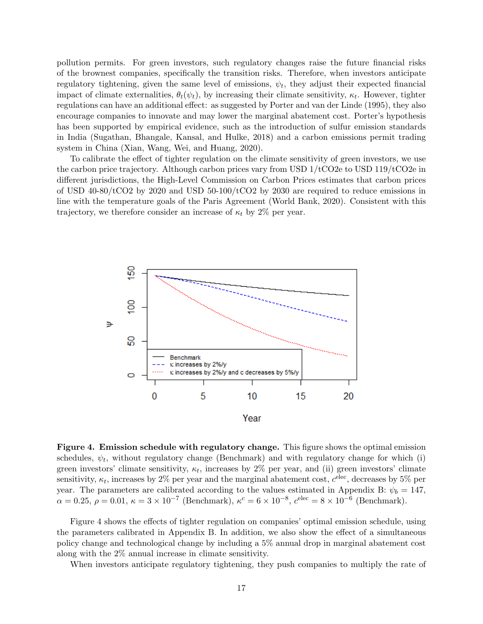pollution permits. For green investors, such regulatory changes raise the future financial risks of the brownest companies, specifically the transition risks. Therefore, when investors anticipate regulatory tightening, given the same level of emissions,  $\psi_t$ , they adjust their expected financial impact of climate externalities,  $\theta_t(\psi_t)$ , by increasing their climate sensitivity,  $\kappa_t$ . However, tighter regulations can have an additional effect: as suggested by [Porter and van der Linde](#page-31-15) [\(1995\)](#page-31-15), they also encourage companies to innovate and may lower the marginal abatement cost. Porter's hypothesis has been supported by empirical evidence, such as the introduction of sulfur emission standards in India [\(Sugathan, Bhangale, Kansal, and Hulke,](#page-31-16) [2018\)](#page-31-16) and a carbon emissions permit trading system in China [\(Xian, Wang, Wei, and Huang,](#page-32-5) [2020\)](#page-32-5).

To calibrate the effect of tighter regulation on the climate sensitivity of green investors, we use the carbon price trajectory. Although carbon prices vary from USD  $1/tCO2e$  to USD  $119/tCO2e$  in different jurisdictions, the High-Level Commission on Carbon Prices estimates that carbon prices of USD  $40-80/\text{tCO2}$  by 2020 and USD  $50-100/\text{tCO2}$  by 2030 are required to reduce emissions in line with the temperature goals of the Paris Agreement [\(World Bank,](#page-32-6) [2020\)](#page-32-6). Consistent with this trajectory, we therefore consider an increase of  $\kappa_t$  by 2% per year.

<span id="page-18-0"></span>

Figure 4. Emission schedule with regulatory change. This figure shows the optimal emission schedules,  $\psi_t$ , without regulatory change (Benchmark) and with regulatory change for which (i) green investors' climate sensitivity,  $\kappa_t$ , increases by 2% per year, and (ii) green investors' climate sensitivity,  $\kappa_t$ , increases by 2% per year and the marginal abatement cost,  $c^{\text{elec}}$ , decreases by 5% per year. The parameters are calibrated according to the values estimated in Appendix B:  $\psi_b = 147$ ,  $\alpha = 0.25, \, \rho = 0.01, \, \kappa = 3 \times 10^{-7} \text{ (Benchmark)}, \, \kappa^c = 6 \times 10^{-8}, \, c^{\text{elec}} = 8 \times 10^{-6} \text{ (Benchmark)}.$ 

Figure [4](#page-18-0) shows the effects of tighter regulation on companies' optimal emission schedule, using the parameters calibrated in Appendix B. In addition, we also show the effect of a simultaneous policy change and technological change by including a 5% annual drop in marginal abatement cost along with the 2% annual increase in climate sensitivity.

When investors anticipate regulatory tightening, they push companies to multiply the rate of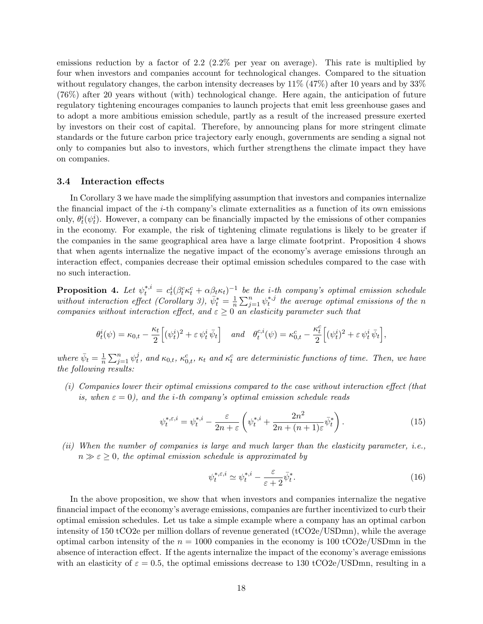emissions reduction by a factor of 2.2 (2.2% per year on average). This rate is multiplied by four when investors and companies account for technological changes. Compared to the situation without regulatory changes, the carbon intensity decreases by  $11\%$  (47%) after 10 years and by 33% (76%) after 20 years without (with) technological change. Here again, the anticipation of future regulatory tightening encourages companies to launch projects that emit less greenhouse gases and to adopt a more ambitious emission schedule, partly as a result of the increased pressure exerted by investors on their cost of capital. Therefore, by announcing plans for more stringent climate standards or the future carbon price trajectory early enough, governments are sending a signal not only to companies but also to investors, which further strengthens the climate impact they have on companies.

#### <span id="page-19-0"></span>3.4 Interaction effects

In Corollary [3](#page-13-1) we have made the simplifying assumption that investors and companies internalize the financial impact of the  $i$ -th company's climate externalities as a function of its own emissions only,  $\theta_t^i(\psi_t^i)$ . However, a company can be financially impacted by the emissions of other companies in the economy. For example, the risk of tightening climate regulations is likely to be greater if the companies in the same geographical area have a large climate footprint. Proposition [4](#page-19-1) shows that when agents internalize the negative impact of the economy's average emissions through an interaction effect, companies decrease their optimal emission schedules compared to the case with no such interaction.

<span id="page-19-1"></span>**Proposition 4.** Let  $\psi_t^{*,i} = c_t^i(\beta_t^c \kappa_t^c + \alpha \beta_t \kappa_t)^{-1}$  be the *i*-th company's optimal emission schedule without interaction effect (Corollary [3\)](#page-13-1),  $\bar{\psi}_t^* = \frac{1}{n}$  $\frac{1}{n} \sum_{j=1}^{n} \psi_t^{*,j}$  $t^{*,j}$  the average optimal emissions of the n companies without interaction effect, and  $\varepsilon \geq 0$  an elasticity parameter such that

$$
\theta^i_t(\psi) = \kappa_{0,t} - \frac{\kappa_t}{2}\Big[(\psi^i_t)^2 + \varepsilon\,\psi^i_t\,\bar\psi_t\Big] \quad \text{and} \quad \theta^{c,i}_t(\psi) = \kappa^c_{0,t} - \frac{\kappa^c_t}{2}\Big[(\psi^i_t)^2 + \varepsilon\,\psi^i_t\,\bar\psi_t\Big],
$$

where  $\bar{\psi}_t = \frac{1}{n}$  $\frac{1}{n}\sum_{j=1}^n \psi_t^j$  $\hat{t}_t^{j}$ , and  $\kappa_{0,t}$ ,  $\kappa_{6,t}^{c}$ ,  $\kappa_{t}$  and  $\kappa_{t}^{c}$  are deterministic functions of time. Then, we have the following results:

(i) Companies lower their optimal emissions compared to the case without interaction effect (that is, when  $\varepsilon = 0$ ), and the *i*-th company's optimal emission schedule reads

$$
\psi_t^{*,\varepsilon,i} = \psi_t^{*,i} - \frac{\varepsilon}{2n+\varepsilon} \left( \psi_t^{*,i} + \frac{2n^2}{2n+(n+1)\varepsilon} \bar{\psi}_t^* \right). \tag{15}
$$

(ii) When the number of companies is large and much larger than the elasticity parameter, i.e.,  $n \gg \varepsilon \geq 0$ , the optimal emission schedule is approximated by

$$
\psi_t^{*,\varepsilon,i} \simeq \psi_t^{*,i} - \frac{\varepsilon}{\varepsilon + 2} \bar{\psi}_t^*.
$$
\n(16)

In the above proposition, we show that when investors and companies internalize the negative financial impact of the economy's average emissions, companies are further incentivized to curb their optimal emission schedules. Let us take a simple example where a company has an optimal carbon intensity of 150 tCO2e per million dollars of revenue generated (tCO2e/USDmn), while the average optimal carbon intensity of the  $n = 1000$  companies in the economy is 100 tCO2e/USDmn in the absence of interaction effect. If the agents internalize the impact of the economy's average emissions with an elasticity of  $\varepsilon = 0.5$ , the optimal emissions decrease to 130 tCO2e/USDmn, resulting in a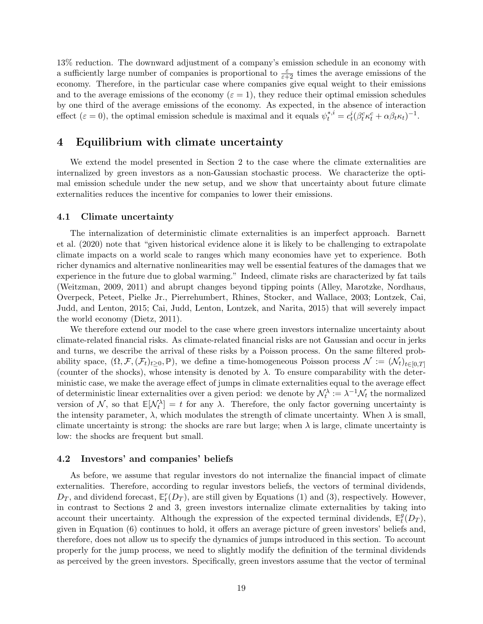13% reduction. The downward adjustment of a company's emission schedule in an economy with a sufficiently large number of companies is proportional to  $\frac{\varepsilon}{\varepsilon+2}$  times the average emissions of the economy. Therefore, in the particular case where companies give equal weight to their emissions and to the average emissions of the economy ( $\varepsilon = 1$ ), they reduce their optimal emission schedules by one third of the average emissions of the economy. As expected, in the absence of interaction effect  $(\varepsilon = 0)$ , the optimal emission schedule is maximal and it equals  $\psi_t^{*,i} = c_t^i (\beta_t^c \kappa_t^c + \alpha \beta_t \kappa_t)^{-1}$ .

#### 4 Equilibrium with climate uncertainty

We extend the model presented in Section [2](#page-6-0) to the case where the climate externalities are internalized by green investors as a non-Gaussian stochastic process. We characterize the optimal emission schedule under the new setup, and we show that uncertainty about future climate externalities reduces the incentive for companies to lower their emissions.

#### 4.1 Climate uncertainty

The internalization of deterministic climate externalities is an imperfect approach. [Barnett](#page-28-1) [et al.](#page-28-1) [\(2020\)](#page-28-1) note that "given historical evidence alone it is likely to be challenging to extrapolate climate impacts on a world scale to ranges which many economies have yet to experience. Both richer dynamics and alternative nonlinearities may well be essential features of the damages that we experience in the future due to global warming." Indeed, climate risks are characterized by fat tails [\(Weitzman,](#page-32-1) [2009,](#page-32-1) [2011\)](#page-32-7) and abrupt changes beyond tipping points [\(Alley, Marotzke, Nordhaus,](#page-27-3) [Overpeck, Peteet, Pielke Jr., Pierrehumbert, Rhines, Stocker, and Wallace,](#page-27-3) [2003;](#page-27-3) [Lontzek, Cai,](#page-30-16) [Judd, and Lenton,](#page-30-16) [2015;](#page-30-16) [Cai, Judd, Lenton, Lontzek, and Narita,](#page-29-13) [2015\)](#page-29-13) that will severely impact the world economy [\(Dietz,](#page-29-14) [2011\)](#page-29-14).

We therefore extend our model to the case where green investors internalize uncertainty about climate-related financial risks. As climate-related financial risks are not Gaussian and occur in jerks and turns, we describe the arrival of these risks by a Poisson process. On the same filtered probability space,  $(\Omega, \mathcal{F}, (\mathcal{F}_t)_{t>0}, \mathbb{P})$ , we define a time-homogeneous Poisson process  $\mathcal{N} := (\mathcal{N}_t)_{t\in[0,T]}$ (counter of the shocks), whose intensity is denoted by  $\lambda$ . To ensure comparability with the deterministic case, we make the average effect of jumps in climate externalities equal to the average effect of deterministic linear externalities over a given period: we denote by  $\mathcal{N}_t^{\lambda} := \lambda^{-1} \mathcal{N}_t$  the normalized version of N, so that  $\mathbb{E}[\mathcal{N}_t^{\lambda}] = t$  for any  $\lambda$ . Therefore, the only factor governing uncertainty is the intensity parameter,  $\lambda$ , which modulates the strength of climate uncertainty. When  $\lambda$  is small, climate uncertainty is strong: the shocks are rare but large; when  $\lambda$  is large, climate uncertainty is low: the shocks are frequent but small.

#### 4.2 Investors' and companies' beliefs

As before, we assume that regular investors do not internalize the financial impact of climate externalities. Therefore, according to regular investors beliefs, the vectors of terminal dividends,  $D_T$ , and dividend forecast,  $\mathbb{E}_t^r(D_T)$ , are still given by Equations [\(1\)](#page-7-3) and [\(3\)](#page-8-1), respectively. However, in contrast to Sections 2 and 3, green investors internalize climate externalities by taking into account their uncertainty. Although the expression of the expected terminal dividends,  $\mathbb{E}_{t}^{g}$  ${}_t^g(D_T),$ given in Equation [\(6\)](#page-9-4) continues to hold, it offers an average picture of green investors' beliefs and, therefore, does not allow us to specify the dynamics of jumps introduced in this section. To account properly for the jump process, we need to slightly modify the definition of the terminal dividends as perceived by the green investors. Specifically, green investors assume that the vector of terminal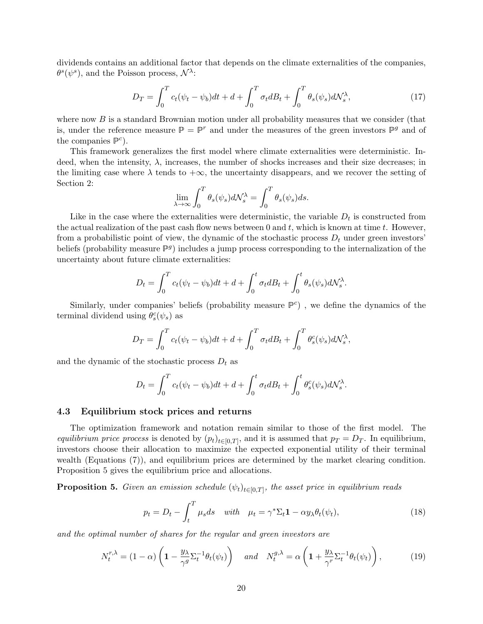dividends contains an additional factor that depends on the climate externalities of the companies,  $\theta^s(\psi^s)$ , and the Poisson process,  $\mathcal{N}^{\lambda}$ :

$$
D_T = \int_0^T c_t(\psi_t - \psi_b)dt + d + \int_0^T \sigma_t dB_t + \int_0^T \theta_s(\psi_s)d\mathcal{N}_s^{\lambda},\tag{17}
$$

where now  $B$  is a standard Brownian motion under all probability measures that we consider (that is, under the reference measure  $\mathbb{P} = \mathbb{P}^r$  and under the measures of the green investors  $\mathbb{P}^g$  and of the companies  $\mathbb{P}^c$ ).

This framework generalizes the first model where climate externalities were deterministic. Indeed, when the intensity,  $\lambda$ , increases, the number of shocks increases and their size decreases; in the limiting case where  $\lambda$  tends to  $+\infty$ , the uncertainty disappears, and we recover the setting of Section [2:](#page-6-0)

$$
\lim_{\lambda \to \infty} \int_0^T \theta_s(\psi_s) d\mathcal{N}_s^{\lambda} = \int_0^T \theta_s(\psi_s) ds.
$$

Like in the case where the externalities were deterministic, the variable  $D_t$  is constructed from the actual realization of the past cash flow news between 0 and t, which is known at time t. However, from a probabilistic point of view, the dynamic of the stochastic process  $D_t$  under green investors' beliefs (probability measure  $\mathbb{P}^g$ ) includes a jump process corresponding to the internalization of the uncertainty about future climate externalities:

$$
D_t = \int_0^T c_t(\psi_t - \psi_b)dt + d + \int_0^t \sigma_t dB_t + \int_0^t \theta_s(\psi_s)d\mathcal{N}_s^{\lambda}.
$$

Similarly, under companies' beliefs (probability measure  $\mathbb{P}^c$ ), we define the dynamics of the terminal dividend using  $\theta_s^c(\psi_s)$  as

$$
D_T = \int_0^T c_t(\psi_t - \psi_b)dt + d + \int_0^T \sigma_t dB_t + \int_0^T \theta_s^c(\psi_s)d\mathcal{N}_s^{\lambda},
$$

and the dynamic of the stochastic process  $D_t$  as

$$
D_t = \int_0^T c_t(\psi_t - \psi_b)dt + d + \int_0^t \sigma_t dB_t + \int_0^t \theta_s^c(\psi_s)d\mathcal{N}_s^{\lambda}.
$$

#### 4.3 Equilibrium stock prices and returns

The optimization framework and notation remain similar to those of the first model. The equilibrium price process is denoted by  $(p_t)_{t\in[0,T]}$ , and it is assumed that  $p_T = D_T$ . In equilibrium, investors choose their allocation to maximize the expected exponential utility of their terminal wealth (Equations [\(7\)](#page-10-2)), and equilibrium prices are determined by the market clearing condition. Proposition [5](#page-21-0) gives the equilibrium price and allocations.

<span id="page-21-0"></span>**Proposition 5.** Given an emission schedule  $(\psi_t)_{t\in[0,T]}$ , the asset price in equilibrium reads

$$
p_t = D_t - \int_t^T \mu_s ds \quad with \quad \mu_t = \gamma^* \Sigma_t \mathbf{1} - \alpha y_\lambda \theta_t(\psi_t), \tag{18}
$$

and the optimal number of shares for the regular and green investors are

$$
N_t^{r,\lambda} = (1 - \alpha) \left( 1 - \frac{y_\lambda}{\gamma^g} \Sigma_t^{-1} \theta_t(\psi_t) \right) \quad \text{and} \quad N_t^{g,\lambda} = \alpha \left( 1 + \frac{y_\lambda}{\gamma^r} \Sigma_t^{-1} \theta_t(\psi_t) \right), \tag{19}
$$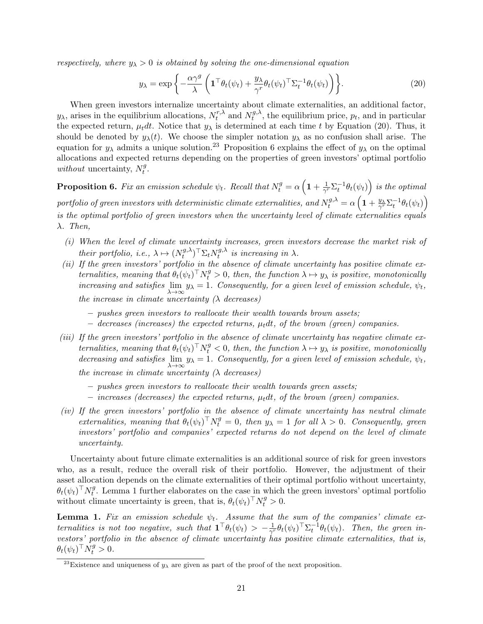respectively, where  $y_{\lambda} > 0$  is obtained by solving the one-dimensional equation

<span id="page-22-0"></span>
$$
y_{\lambda} = \exp\left\{-\frac{\alpha\gamma^g}{\lambda}\left(\mathbf{1}^\top \theta_t(\psi_t) + \frac{y_{\lambda}}{\gamma^r} \theta_t(\psi_t)^\top \Sigma_t^{-1} \theta_t(\psi_t)\right)\right\}.
$$
 (20)

When green investors internalize uncertainty about climate externalities, an additional factor,  $y_{\lambda}$ , arises in the equilibrium allocations,  $N_t^{r,\lambda}$  $t^{r,\lambda}$  and  $N_t^{g,\lambda}$  $t_t^{g,\lambda}$ , the equilibrium price,  $p_t$ , and in particular the expected return,  $\mu_t dt$ . Notice that  $y_\lambda$  is determined at each time t by Equation [\(20\)](#page-22-0). Thus, it should be denoted by  $y_\lambda(t)$ . We choose the simpler notation  $y_\lambda$  as no confusion shall arise. The equation for  $y_\lambda$  admits a unique solution.<sup>[23](#page-22-1)</sup> Proposition [6](#page-22-2) explains the effect of  $y_\lambda$  on the optimal allocations and expected returns depending on the properties of green investors' optimal portfolio without uncertainty,  $N_t^g$  $\frac{g}{t}$ .

<span id="page-22-2"></span>**Proposition 6.** Fix an emission schedule  $\psi_t$ . Recall that  $N_t^g = \alpha \left( 1 + \frac{1}{\gamma^g} \right)$  $\frac{1}{\gamma^r}\Sigma_t^{-1}\theta_t(\psi_t)\Big)$  is the optimal portfolio of green investors with deterministic climate externalities, and  $N_t^{g,\lambda}=\alpha\left(1+\frac{y_\lambda}{\gamma^r}\Sigma_t^{-1}\theta_t(\psi_t)\right)$ is the optimal portfolio of green investors when the uncertainty level of climate externalities equals  $\lambda$ . Then,

- (i) When the level of climate uncertainty increases, green investors decrease the market risk of their portfolio, i.e.,  $\lambda \mapsto (N_t^{g,\lambda})$  $(t^{g,\lambda})^{\top} \Sigma_t N^{g,\lambda}_t$  $t^{g,\lambda}$  is increasing in  $\lambda$ .
- $(ii)$  If the green investors' portfolio in the absence of climate uncertainty has positive climate externalities, meaning that  $\theta_t(\psi_t)^\top N_t^g > 0$ , then, the function  $\lambda \mapsto y_\lambda$  is positive, monotonically increasing and satisfies  $\lim_{\lambda \to \infty} y_{\lambda} = 1$ . Consequently, for a given level of emission schedule,  $\psi_t$ , the increase in climate uncertainty  $(\lambda$  decreases)
	- pushes green investors to reallocate their wealth towards brown assets;
	- $-$  decreases (increases) the expected returns,  $\mu_t dt$ , of the brown (green) companies.
- (iii) If the green investors' portfolio in the absence of climate uncertainty has negative climate externalities, meaning that  $\theta_t(\psi_t)^\top N_t^g < 0$ , then, the function  $\lambda \mapsto y_\lambda$  is positive, monotonically decreasing and satisfies  $\lim_{\lambda \to \infty} y_{\lambda} = 1$ . Consequently, for a given level of emission schedule,  $\psi_t$ , the increase in climate uncertainty  $(\lambda$  decreases)
	- pushes green investors to reallocate their wealth towards green assets;
	- increases (decreases) the expected returns,  $\mu_t dt$ , of the brown (green) companies.
- (iv) If the green investors' portfolio in the absence of climate uncertainty has neutral climate externalities, meaning that  $\theta_t(\psi_t)^\top N_t^g = 0$ , then  $y_\lambda = 1$  for all  $\lambda > 0$ . Consequently, green investors' portfolio and companies' expected returns do not depend on the level of climate uncertainty.

Uncertainty about future climate externalities is an additional source of risk for green investors who, as a result, reduce the overall risk of their portfolio. However, the adjustment of their asset allocation depends on the climate externalities of their optimal portfolio without uncertainty,  $\theta_t(\psi_t)^\top N_t^g$  $t_t^g$ . Lemma [1](#page-22-3) further elaborates on the case in which the green investors' optimal portfolio without climate uncertainty is green, that is,  $\theta_t(\psi_t)^\top N_t^g > 0$ .

<span id="page-22-3"></span>**Lemma 1.** Fix an emission schedule  $\psi_t$ . Assume that the sum of the companies' climate externalities is not too negative, such that  $\mathbf{1}^\top \theta_t(\psi_t) > -\frac{1}{\gamma^2}$  $\frac{1}{\gamma^{r}}\theta_{t}(\psi_{t})^{\top} \Sigma_{t}^{-1}\theta_{t}(\psi_{t}).$  Then, the green investors' portfolio in the absence of climate uncertainty has positive climate externalities, that is,  $\theta_t(\psi_t)^\top \dot{N}_t^g > 0.$ 

<span id="page-22-1"></span><sup>&</sup>lt;sup>23</sup>Existence and uniqueness of  $y_{\lambda}$  are given as part of the proof of the next proposition.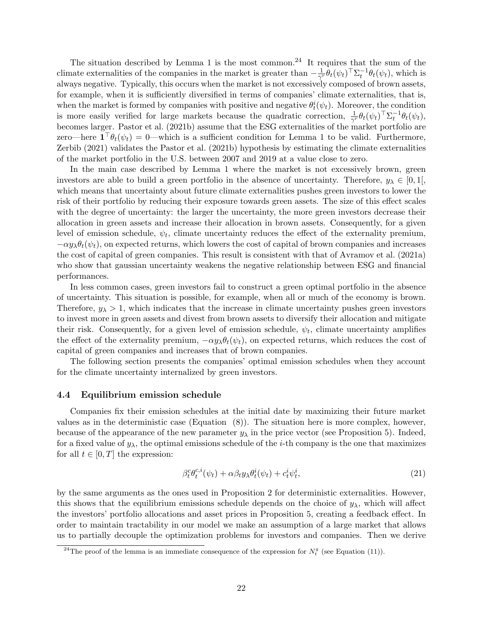The situation described by Lemma [1](#page-22-3) is the most common.<sup>[24](#page-23-0)</sup> It requires that the sum of the climate externalities of the companies in the market is greater than  $-\frac{1}{\gamma'}$  $\frac{1}{\gamma^{r}} \theta_{t}(\psi_{t})^{\top} \Sigma_{t}^{-1} \theta_{t}(\psi_{t}),$  which is always negative. Typically, this occurs when the market is not excessively composed of brown assets, for example, when it is sufficiently diversified in terms of companies' climate externalities, that is, when the market is formed by companies with positive and negative  $\theta_t^i(\psi_t)$ . Moreover, the condition is more easily verified for large markets because the quadratic correction,  $\frac{1}{\gamma^r} \theta_t(\psi_t)^\top \Sigma_t^{-1} \theta_t(\psi_t)$ , becomes larger. [Pastor et al.](#page-31-1) [\(2021b\)](#page-31-1) assume that the ESG externalities of the market portfolio are zero—here  $\mathbf{1}^\top \theta_t(\psi_t) = 0$  $\mathbf{1}^\top \theta_t(\psi_t) = 0$  $\mathbf{1}^\top \theta_t(\psi_t) = 0$ —which is a sufficient condition for Lemma 1 to be valid. Furthermore, [Zerbib](#page-32-0) [\(2021\)](#page-32-0) validates the [Pastor et al.](#page-31-1) [\(2021b\)](#page-31-1) hypothesis by estimating the climate externalities of the market portfolio in the U.S. between 2007 and 2019 at a value close to zero.

In the main case described by Lemma [1](#page-22-3) where the market is not excessively brown, green investors are able to build a green portfolio in the absence of uncertainty. Therefore,  $y_{\lambda} \in [0,1],$ which means that uncertainty about future climate externalities pushes green investors to lower the risk of their portfolio by reducing their exposure towards green assets. The size of this effect scales with the degree of uncertainty: the larger the uncertainty, the more green investors decrease their allocation in green assets and increase their allocation in brown assets. Consequently, for a given level of emission schedule,  $\psi_t$ , climate uncertainty reduces the effect of the externality premium,  $-\alpha y_{\lambda} \theta_t(\psi_t)$ , on expected returns, which lowers the cost of capital of brown companies and increases the cost of capital of green companies. This result is consistent with that of [Avramov et al.](#page-28-9) [\(2021a\)](#page-28-9) who show that gaussian uncertainty weakens the negative relationship between ESG and financial performances.

In less common cases, green investors fail to construct a green optimal portfolio in the absence of uncertainty. This situation is possible, for example, when all or much of the economy is brown. Therefore,  $y_{\lambda} > 1$ , which indicates that the increase in climate uncertainty pushes green investors to invest more in green assets and divest from brown assets to diversify their allocation and mitigate their risk. Consequently, for a given level of emission schedule,  $\psi_t$ , climate uncertainty amplifies the effect of the externality premium,  $-\alpha y_\lambda \theta_t(\psi_t)$ , on expected returns, which reduces the cost of capital of green companies and increases that of brown companies.

The following section presents the companies' optimal emission schedules when they account for the climate uncertainty internalized by green investors.

#### 4.4 Equilibrium emission schedule

Companies fix their emission schedules at the initial date by maximizing their future market values as in the deterministic case (Equation [\(8\)](#page-10-1)). The situation here is more complex, however, because of the appearance of the new parameter  $y_{\lambda}$  in the price vector (see Proposition [5\)](#page-21-0). Indeed, for a fixed value of  $y_{\lambda}$ , the optimal emissions schedule of the *i*-th company is the one that maximizes for all  $t \in [0, T]$  the expression:

<span id="page-23-1"></span>
$$
\beta_t^c \theta_t^{c,i}(\psi_t) + \alpha \beta_t y_\lambda \theta_t^i(\psi_t) + c_t^i \psi_t^i, \tag{21}
$$

by the same arguments as the ones used in Proposition [2](#page-12-2) for deterministic externalities. However, this shows that the equilibrium emissions schedule depends on the choice of  $y_{\lambda}$ , which will affect the investors' portfolio allocations and asset prices in Proposition [5,](#page-21-0) creating a feedback effect. In order to maintain tractability in our model we make an assumption of a large market that allows us to partially decouple the optimization problems for investors and companies. Then we derive

<span id="page-23-0"></span><sup>&</sup>lt;sup>24</sup>The proof of the lemma is an immediate consequence of the expression for  $N_t^g$  (see Equation [\(11\)](#page-11-4)).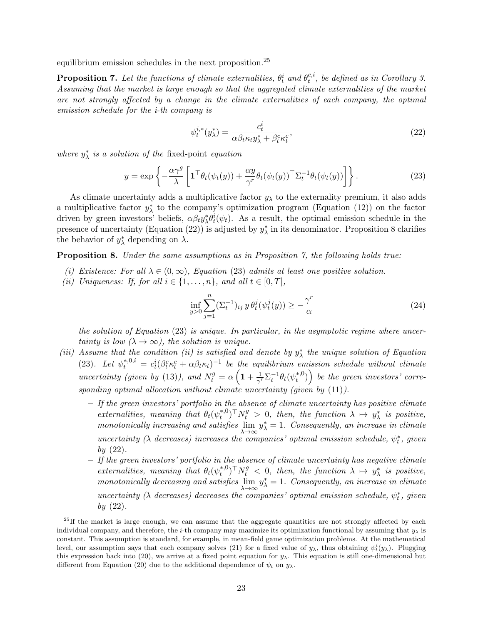equilibrium emission schedules in the next proposition. $25$ 

<span id="page-24-3"></span>**Proposition 7.** Let the functions of climate externalities,  $\theta_t^i$  and  $\theta_t^{c,i}$  $t^{c,i}$ , be defined as in Corollary [3.](#page-13-1) Assuming that the market is large enough so that the aggregated climate externalities of the market are not strongly affected by a change in the climate externalities of each company, the optimal emission schedule for the i-th company is

<span id="page-24-4"></span><span id="page-24-1"></span>
$$
\psi_t^{i,*}(y_\lambda^*) = \frac{c_t^i}{\alpha \beta_t \kappa_t y_\lambda^* + \beta_t^c \kappa_t^c},\tag{22}
$$

where  $y_{\lambda}^{*}$  is a solution of the fixed-point equation

$$
y = \exp\left\{-\frac{\alpha \gamma^g}{\lambda} \left[ \mathbf{1}^\top \theta_t(\psi_t(y)) + \frac{\alpha y}{\gamma^r} \theta_t(\psi_t(y))^\top \Sigma_t^{-1} \theta_t(\psi_t(y)) \right] \right\}.
$$
 (23)

As climate uncertainty adds a multiplicative factor  $y_{\lambda}$  to the externality premium, it also adds a multiplicative factor  $y^*_{\lambda}$  to the company's optimization program (Equation [\(12\)](#page-12-1)) on the factor driven by green investors' beliefs,  $\alpha \beta_t y^*_{\lambda} \theta^i_t(\psi_t)$ . As a result, the optimal emission schedule in the presence of uncertainty (Equation [\(22\)](#page-24-1)) is adjusted by  $y^*_{\lambda}$  in its denominator. Proposition [8](#page-24-2) clarifies the behavior of  $y^*_{\lambda}$  depending on  $\lambda$ .

<span id="page-24-2"></span>Proposition 8. Under the same assumptions as in Proposition [7,](#page-24-3) the following holds true:

- (i) Existence: For all  $\lambda \in (0, \infty)$ , Equation [\(23\)](#page-24-4) admits at least one positive solution.
- (ii) Uniqueness: If, for all  $i \in \{1, \ldots, n\}$ , and all  $t \in [0, T]$ ,

<span id="page-24-5"></span>
$$
\inf_{y>0} \sum_{j=1}^{n} (\Sigma_t^{-1})_{ij} y \, \theta_t^j(\psi_t^j(y)) \ge -\frac{\gamma^r}{\alpha} \tag{24}
$$

the solution of Equation [\(23\)](#page-24-4) is unique. In particular, in the asymptotic regime where uncertainty is low  $(\lambda \to \infty)$ , the solution is unique.

- (iii) Assume that the condition (ii) is satisfied and denote by  $y^*_{\lambda}$  the unique solution of Equation [\(23\)](#page-24-4). Let  $\psi_t^{*,0,i} = c_t^i (\beta_t^c \kappa_t^c + \alpha \beta_t \kappa_t)^{-1}$  be the equilibrium emission schedule without climate uncertainty (given by [\(13\)](#page-13-3)), and  $N_t^g = \alpha \left( 1 + \frac{1}{\gamma^2} \right)$  $\frac{1}{\gamma^r} \Sigma_t^{-1} \theta_t(\psi_t^{*,0})$  $\left( \begin{smallmatrix} * & 0 \ t & t \end{smallmatrix} \right)$  be the green investors' corresponding optimal allocation without climate uncertainty (given by  $(11)$ ).
	- $-$  If the green investors' portfolio in the absence of climate uncertainty has positive climate externalities, meaning that  $\theta_t(\psi_t^{*,0})$ \*,0)<sup>T</sup>N<sub>t</sub><sup>*s*</sup> > 0, then, the function  $\lambda \mapsto y^*_{\lambda}$  is positive, monotonically increasing and satisfies  $\lim_{\lambda \to \infty} y^*_{\lambda} = 1$ . Consequently, an increase in climate uncertainty ( $\lambda$  decreases) increases the companies' optimal emission schedule,  $\psi_t^*$ , given  $bv(22)$  $bv(22)$ .
	- If the green investors' portfolio in the absence of climate uncertainty has negative climate externalities, meaning that  $\theta_t(\psi_t^{*,0})$ \*,0)<sup>T</sup>N<sub>t</sub><sup>*s*</sup> < 0, then, the function  $\lambda \mapsto y^*_{\lambda}$  is positive, monotonically decreasing and satisfies  $\lim_{\lambda\to\infty} y^*_{\lambda} = 1$ . Consequently, an increase in climate uncertainty ( $\lambda$  decreases) decreases the companies' optimal emission schedule,  $\psi_t^*$ , given  $by (22).$  $by (22).$  $by (22).$

<span id="page-24-0"></span><sup>&</sup>lt;sup>25</sup>If the market is large enough, we can assume that the aggregate quantities are not strongly affected by each individual company, and therefore, the i-th company may maximize its optimization functional by assuming that  $y_\lambda$  is constant. This assumption is standard, for example, in mean-field game optimization problems. At the mathematical level, our assumption says that each company solves [\(21\)](#page-23-1) for a fixed value of  $y_\lambda$ , thus obtaining  $\psi_t^i(y_\lambda)$ . Plugging this expression back into [\(20\)](#page-22-0), we arrive at a fixed point equation for  $y_\lambda$ . This equation is still one-dimensional but different from Equation [\(20\)](#page-22-0) due to the additional dependence of  $\psi_t$  on  $y_\lambda$ .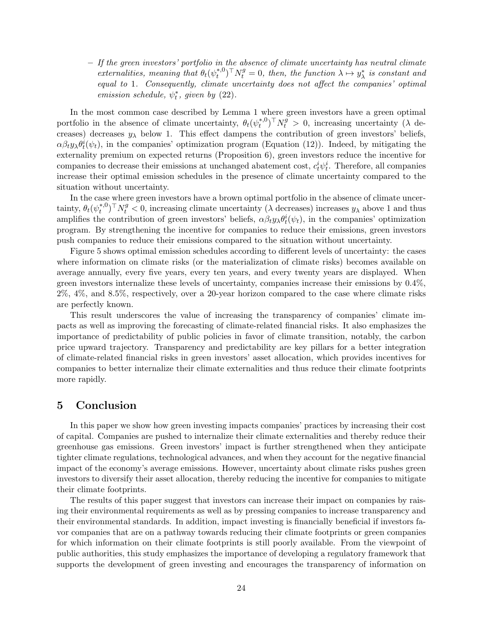– If the green investors' portfolio in the absence of climate uncertainty has neutral climate externalities, meaning that  $\theta_t(\psi_t^{*,0})$ \*,0)<sup>T</sup>N<sub>t</sub><sup>*s*</sup> = 0, then, the function  $\lambda \mapsto y^*_{\lambda}$  is constant and equal to 1. Consequently, climate uncertainty does not affect the companies' optimal emission schedule,  $\psi_t^*$ , given by [\(22\)](#page-24-1).

In the most common case described by Lemma [1](#page-22-3) where green investors have a green optimal portfolio in the absence of climate uncertainty,  $\theta_t(\psi_t^{*,0})$  $(t_t^{*,0})^{\top} N_t^g > 0$ , increasing uncertainty ( $\lambda$  decreases) decreases  $y_{\lambda}$  below 1. This effect dampens the contribution of green investors' beliefs,  $\alpha\beta_t y_\lambda \theta_t^i(\psi_t)$ , in the companies' optimization program (Equation [\(12\)](#page-12-1)). Indeed, by mitigating the externality premium on expected returns (Proposition [6\)](#page-22-2), green investors reduce the incentive for companies to decrease their emissions at unchanged abatement cost,  $c_t^i \psi_t^i$ . Therefore, all companies increase their optimal emission schedules in the presence of climate uncertainty compared to the situation without uncertainty.

In the case where green investors have a brown optimal portfolio in the absence of climate uncertainty,  $\theta_t(\psi_t^{*,0})$  $(t_t^{*,0})^{\top} N_t^g < 0$ , increasing climate uncertainty ( $\lambda$  decreases) increases  $y_\lambda$  above 1 and thus amplifies the contribution of green investors' beliefs,  $\alpha \beta_t y_\lambda \theta_t^i(\psi_t)$ , in the companies' optimization program. By strengthening the incentive for companies to reduce their emissions, green investors push companies to reduce their emissions compared to the situation without uncertainty.

Figure [5](#page-26-0) shows optimal emission schedules according to different levels of uncertainty: the cases where information on climate risks (or the materialization of climate risks) becomes available on average annually, every five years, every ten years, and every twenty years are displayed. When green investors internalize these levels of uncertainty, companies increase their emissions by 0.4%, 2%, 4%, and 8.5%, respectively, over a 20-year horizon compared to the case where climate risks are perfectly known.

This result underscores the value of increasing the transparency of companies' climate impacts as well as improving the forecasting of climate-related financial risks. It also emphasizes the importance of predictability of public policies in favor of climate transition, notably, the carbon price upward trajectory. Transparency and predictability are key pillars for a better integration of climate-related financial risks in green investors' asset allocation, which provides incentives for companies to better internalize their climate externalities and thus reduce their climate footprints more rapidly.

#### 5 Conclusion

In this paper we show how green investing impacts companies' practices by increasing their cost of capital. Companies are pushed to internalize their climate externalities and thereby reduce their greenhouse gas emissions. Green investors' impact is further strengthened when they anticipate tighter climate regulations, technological advances, and when they account for the negative financial impact of the economy's average emissions. However, uncertainty about climate risks pushes green investors to diversify their asset allocation, thereby reducing the incentive for companies to mitigate their climate footprints.

The results of this paper suggest that investors can increase their impact on companies by raising their environmental requirements as well as by pressing companies to increase transparency and their environmental standards. In addition, impact investing is financially beneficial if investors favor companies that are on a pathway towards reducing their climate footprints or green companies for which information on their climate footprints is still poorly available. From the viewpoint of public authorities, this study emphasizes the importance of developing a regulatory framework that supports the development of green investing and encourages the transparency of information on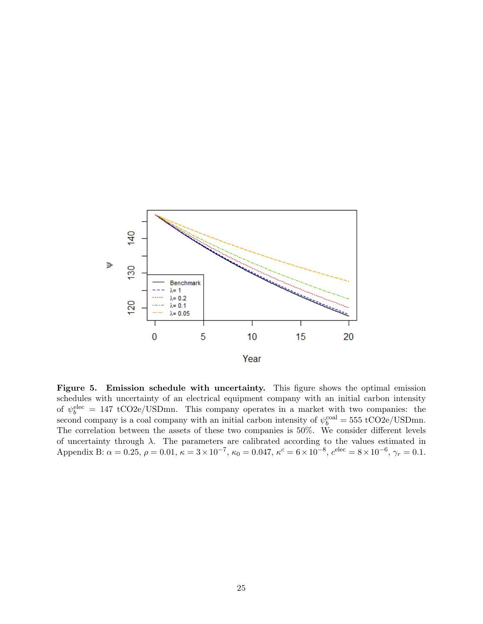<span id="page-26-0"></span>

Figure 5. Emission schedule with uncertainty. This figure shows the optimal emission schedules with uncertainty of an electrical equipment company with an initial carbon intensity of  $\psi_b^{\text{elec}} = 147 \text{ tCO2e/USDmn}$ . This company operates in a market with two companies: the second company is a coal company with an initial carbon intensity of  $\psi_b^{\text{coal}} = 555 \text{ t} \text{CO2e}/\text{USDmn}$ . The correlation between the assets of these two companies is 50%. We consider different levels of uncertainty through  $\lambda$ . The parameters are calibrated according to the values estimated in Appendix B:  $\alpha = 0.25$ ,  $\rho = 0.01$ ,  $\kappa = 3 \times 10^{-7}$ ,  $\kappa_0 = 0.047$ ,  $\kappa^c = 6 \times 10^{-8}$ ,  $c^{\text{elec}} = 8 \times 10^{-6}$ ,  $\gamma_r = 0.1$ .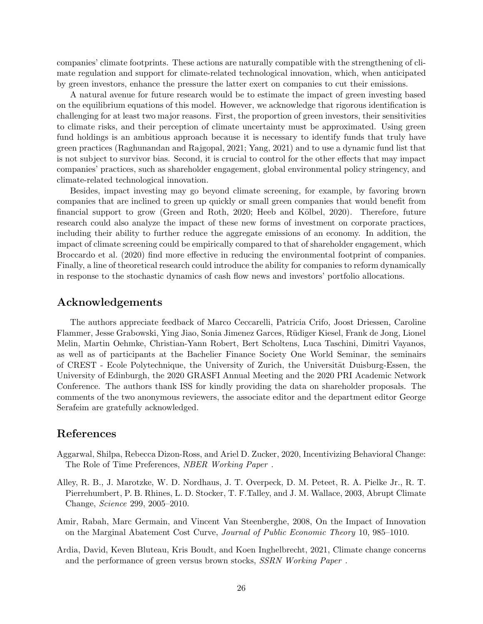companies' climate footprints. These actions are naturally compatible with the strengthening of climate regulation and support for climate-related technological innovation, which, when anticipated by green investors, enhance the pressure the latter exert on companies to cut their emissions.

A natural avenue for future research would be to estimate the impact of green investing based on the equilibrium equations of this model. However, we acknowledge that rigorous identification is challenging for at least two major reasons. First, the proportion of green investors, their sensitivities to climate risks, and their perception of climate uncertainty must be approximated. Using green fund holdings is an ambitious approach because it is necessary to identify funds that truly have green practices [\(Raghunandan and Rajgopal,](#page-31-17) [2021;](#page-31-17) [Yang,](#page-32-8) [2021\)](#page-32-8) and to use a dynamic fund list that is not subject to survivor bias. Second, it is crucial to control for the other effects that may impact companies' practices, such as shareholder engagement, global environmental policy stringency, and climate-related technological innovation.

Besides, impact investing may go beyond climate screening, for example, by favoring brown companies that are inclined to green up quickly or small green companies that would benefit from financial support to grow [\(Green and Roth,](#page-29-15) [2020;](#page-29-15) Heeb and Kölbel, [2020\)](#page-30-17). Therefore, future research could also analyze the impact of these new forms of investment on corporate practices, including their ability to further reduce the aggregate emissions of an economy. In addition, the impact of climate screening could be empirically compared to that of shareholder engagement, which [Broccardo et al.](#page-28-2) [\(2020\)](#page-28-2) find more effective in reducing the environmental footprint of companies. Finally, a line of theoretical research could introduce the ability for companies to reform dynamically in response to the stochastic dynamics of cash flow news and investors' portfolio allocations.

#### Acknowledgements

The authors appreciate feedback of Marco Ceccarelli, Patricia Crifo, Joost Driessen, Caroline Flammer, Jesse Grabowski, Ying Jiao, Sonia Jimenez Garces, Rüdiger Kiesel, Frank de Jong, Lionel Melin, Martin Oehmke, Christian-Yann Robert, Bert Scholtens, Luca Taschini, Dimitri Vayanos, as well as of participants at the Bachelier Finance Society One World Seminar, the seminairs of CREST - Ecole Polytechnique, the University of Zurich, the Universität Duisburg-Essen, the University of Edinburgh, the 2020 GRASFI Annual Meeting and the 2020 PRI Academic Network Conference. The authors thank ISS for kindly providing the data on shareholder proposals. The comments of the two anonymous reviewers, the associate editor and the department editor George Serafeim are gratefully acknowledged.

#### References

- <span id="page-27-1"></span>Aggarwal, Shilpa, Rebecca Dizon-Ross, and Ariel D. Zucker, 2020, Incentivizing Behavioral Change: The Role of Time Preferences, NBER Working Paper .
- <span id="page-27-3"></span>Alley, R. B., J. Marotzke, W. D. Nordhaus, J. T. Overpeck, D. M. Peteet, R. A. Pielke Jr., R. T. Pierrehumbert, P. B. Rhines, L. D. Stocker, T. F.Talley, and J. M. Wallace, 2003, Abrupt Climate Change, Science 299, 2005–2010.
- <span id="page-27-2"></span>Amir, Rabah, Marc Germain, and Vincent Van Steenberghe, 2008, On the Impact of Innovation on the Marginal Abatement Cost Curve, Journal of Public Economic Theory 10, 985–1010.
- <span id="page-27-0"></span>Ardia, David, Keven Bluteau, Kris Boudt, and Koen Inghelbrecht, 2021, Climate change concerns and the performance of green versus brown stocks, SSRN Working Paper .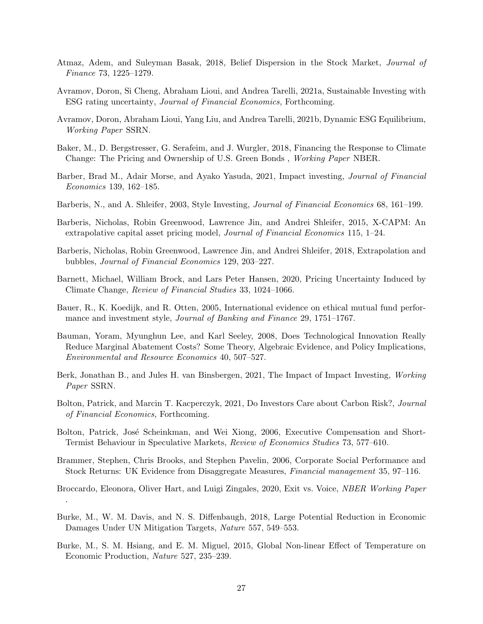- <span id="page-28-10"></span>Atmaz, Adem, and Suleyman Basak, 2018, Belief Dispersion in the Stock Market, Journal of Finance 73, 1225–1279.
- <span id="page-28-9"></span>Avramov, Doron, Si Cheng, Abraham Lioui, and Andrea Tarelli, 2021a, Sustainable Investing with ESG rating uncertainty, Journal of Financial Economics, Forthcoming.
- <span id="page-28-4"></span>Avramov, Doron, Abraham Lioui, Yang Liu, and Andrea Tarelli, 2021b, Dynamic ESG Equilibrium, Working Paper SSRN.
- <span id="page-28-6"></span>Baker, M., D. Bergstresser, G. Serafeim, and J. Wurgler, 2018, Financing the Response to Climate Change: The Pricing and Ownership of U.S. Green Bonds , Working Paper NBER.
- <span id="page-28-5"></span>Barber, Brad M., Adair Morse, and Ayako Yasuda, 2021, Impact investing, Journal of Financial Economics 139, 162–185.
- <span id="page-28-12"></span>Barberis, N., and A. Shleifer, 2003, Style Investing, *Journal of Financial Economics* 68, 161–199.
- <span id="page-28-11"></span>Barberis, Nicholas, Robin Greenwood, Lawrence Jin, and Andrei Shleifer, 2015, X-CAPM: An extrapolative capital asset pricing model, Journal of Financial Economics 115, 1–24.
- <span id="page-28-13"></span>Barberis, Nicholas, Robin Greenwood, Lawrence Jin, and Andrei Shleifer, 2018, Extrapolation and bubbles, Journal of Financial Economics 129, 203–227.
- <span id="page-28-1"></span>Barnett, Michael, William Brock, and Lars Peter Hansen, 2020, Pricing Uncertainty Induced by Climate Change, Review of Financial Studies 33, 1024–1066.
- <span id="page-28-8"></span>Bauer, R., K. Koedijk, and R. Otten, 2005, International evidence on ethical mutual fund performance and investment style, Journal of Banking and Finance 29, 1751–1767.
- <span id="page-28-17"></span>Bauman, Yoram, Myunghun Lee, and Karl Seeley, 2008, Does Technological Innovation Really Reduce Marginal Abatement Costs? Some Theory, Algebraic Evidence, and Policy Implications, Environmental and Resource Economics 40, 507–527.
- <span id="page-28-0"></span>Berk, Jonathan B., and Jules H. van Binsbergen, 2021, The Impact of Impact Investing, Working Paper SSRN.
- <span id="page-28-3"></span>Bolton, Patrick, and Marcin T. Kacperczyk, 2021, Do Investors Care about Carbon Risk?, Journal of Financial Economics, Forthcoming.
- <span id="page-28-16"></span>Bolton, Patrick, José Scheinkman, and Wei Xiong, 2006, Executive Compensation and Short-Termist Behaviour in Speculative Markets, Review of Economics Studies 73, 577–610.
- <span id="page-28-7"></span>Brammer, Stephen, Chris Brooks, and Stephen Pavelin, 2006, Corporate Social Performance and Stock Returns: UK Evidence from Disaggregate Measures, Financial management 35, 97–116.
- <span id="page-28-2"></span>Broccardo, Eleonora, Oliver Hart, and Luigi Zingales, 2020, Exit vs. Voice, NBER Working Paper .
- <span id="page-28-15"></span>Burke, M., W. M. Davis, and N. S. Diffenbaugh, 2018, Large Potential Reduction in Economic Damages Under UN Mitigation Targets, Nature 557, 549–553.
- <span id="page-28-14"></span>Burke, M., S. M. Hsiang, and E. M. Miguel, 2015, Global Non-linear Effect of Temperature on Economic Production, Nature 527, 235–239.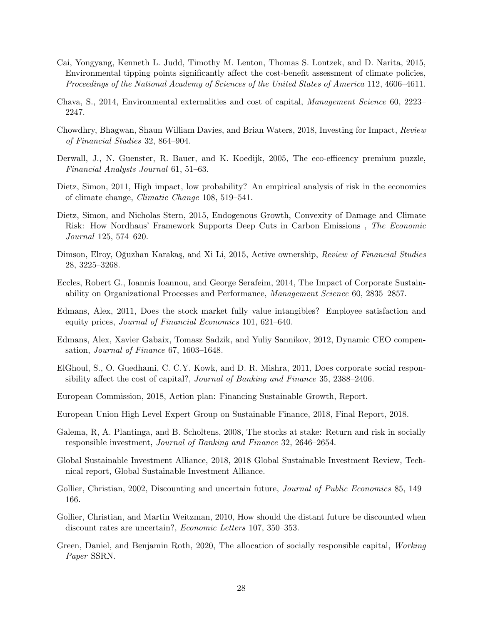- <span id="page-29-13"></span>Cai, Yongyang, Kenneth L. Judd, Timothy M. Lenton, Thomas S. Lontzek, and D. Narita, 2015, Environmental tipping points significantly affect the cost-benefit assessment of climate policies, Proceedings of the National Academy of Sciences of the United States of America 112, 4606–4611.
- <span id="page-29-4"></span>Chava, S., 2014, Environmental externalities and cost of capital, Management Science 60, 2223– 2247.
- <span id="page-29-9"></span>Chowdhry, Bhagwan, Shaun William Davies, and Brian Waters, 2018, Investing for Impact, Review of Financial Studies 32, 864–904.
- <span id="page-29-5"></span>Derwall, J., N. Guenster, R. Bauer, and K. Koedijk, 2005, The eco-efficency premium puzzle, Financial Analysts Journal 61, 51–63.
- <span id="page-29-14"></span>Dietz, Simon, 2011, High impact, low probability? An empirical analysis of risk in the economics of climate change, Climatic Change 108, 519–541.
- <span id="page-29-10"></span>Dietz, Simon, and Nicholas Stern, 2015, Endogenous Growth, Convexity of Damage and Climate Risk: How Nordhaus' Framework Supports Deep Cuts in Carbon Emissions , The Economic Journal 125, 574–620.
- <span id="page-29-11"></span>Dimson, Elroy, Oğuzhan Karakaş, and Xi Li, 2015, Active ownership, Review of Financial Studies 28, 3225–3268.
- <span id="page-29-7"></span>Eccles, Robert G., Ioannis Ioannou, and George Serafeim, 2014, The Impact of Corporate Sustainability on Organizational Processes and Performance, Management Science 60, 2835–2857.
- <span id="page-29-6"></span>Edmans, Alex, 2011, Does the stock market fully value intangibles? Employee satisfaction and equity prices, Journal of Financial Economics 101, 621–640.
- <span id="page-29-12"></span>Edmans, Alex, Xavier Gabaix, Tomasz Sadzik, and Yuliy Sannikov, 2012, Dynamic CEO compensation, Journal of Finance 67, 1603–1648.
- <span id="page-29-3"></span>ElGhoul, S., O. Guedhami, C. C.Y. Kowk, and D. R. Mishra, 2011, Does corporate social responsibility affect the cost of capital?, Journal of Banking and Finance 35, 2388–2406.
- <span id="page-29-2"></span>European Commission, 2018, Action plan: Financing Sustainable Growth, Report.
- <span id="page-29-1"></span>European Union High Level Expert Group on Sustainable Finance, 2018, Final Report, 2018.
- <span id="page-29-8"></span>Galema, R, A. Plantinga, and B. Scholtens, 2008, The stocks at stake: Return and risk in socially responsible investment, Journal of Banking and Finance 32, 2646–2654.
- <span id="page-29-0"></span>Global Sustainable Investment Alliance, 2018, 2018 Global Sustainable Investment Review, Technical report, Global Sustainable Investment Alliance.
- <span id="page-29-16"></span>Gollier, Christian, 2002, Discounting and uncertain future, *Journal of Public Economics* 85, 149– 166.
- <span id="page-29-17"></span>Gollier, Christian, and Martin Weitzman, 2010, How should the distant future be discounted when discount rates are uncertain?, Economic Letters 107, 350–353.
- <span id="page-29-15"></span>Green, Daniel, and Benjamin Roth, 2020, The allocation of socially responsible capital, Working Paper SSRN.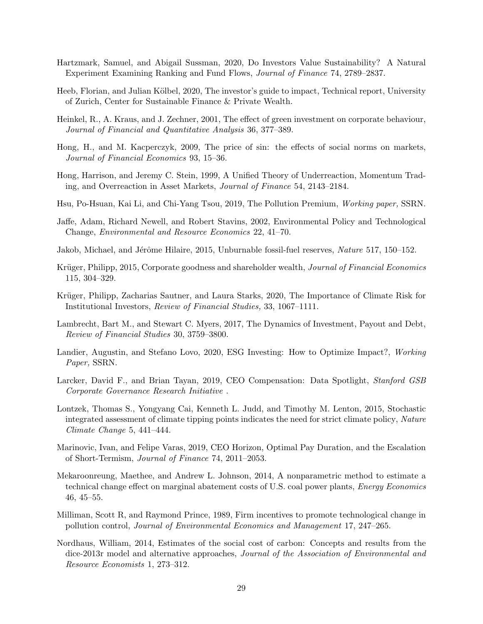- <span id="page-30-3"></span>Hartzmark, Samuel, and Abigail Sussman, 2020, Do Investors Value Sustainability? A Natural Experiment Examining Ranking and Fund Flows, Journal of Finance 74, 2789–2837.
- <span id="page-30-17"></span>Heeb, Florian, and Julian Kölbel, 2020, The investor's guide to impact, Technical report, University of Zurich, Center for Sustainable Finance & Private Wealth.
- <span id="page-30-0"></span>Heinkel, R., A. Kraus, and J. Zechner, 2001, The effect of green investment on corporate behaviour, Journal of Financial and Quantitative Analysis 36, 377–389.
- <span id="page-30-4"></span>Hong, H., and M. Kacperczyk, 2009, The price of sin: the effects of social norms on markets, Journal of Financial Economics 93, 15–36.
- <span id="page-30-8"></span>Hong, Harrison, and Jeremy C. Stein, 1999, A Unified Theory of Underreaction, Momentum Trading, and Overreaction in Asset Markets, Journal of Finance 54, 2143–2184.
- <span id="page-30-5"></span>Hsu, Po-Hsuan, Kai Li, and Chi-Yang Tsou, 2019, The Pollution Premium, Working paper, SSRN.
- <span id="page-30-14"></span>Jaffe, Adam, Richard Newell, and Robert Stavins, 2002, Environmental Policy and Technological Change, Environmental and Resource Economics 22, 41–70.
- <span id="page-30-1"></span>Jakob, Michael, and Jérôme Hilaire, 2015, Unburnable fossil-fuel reserves, Nature 517, 150–152.
- <span id="page-30-6"></span>Krüger, Philipp, 2015, Corporate goodness and shareholder wealth, Journal of Financial Economics 115, 304–329.
- <span id="page-30-2"></span>Krüger, Philipp, Zacharias Sautner, and Laura Starks, 2020, The Importance of Climate Risk for Institutional Investors, Review of Financial Studies, 33, 1067–1111.
- <span id="page-30-9"></span>Lambrecht, Bart M., and Stewart C. Myers, 2017, The Dynamics of Investment, Payout and Debt, Review of Financial Studies 30, 3759–3800.
- <span id="page-30-7"></span>Landier, Augustin, and Stefano Lovo, 2020, ESG Investing: How to Optimize Impact?, Working Paper, SSRN.
- <span id="page-30-10"></span>Larcker, David F., and Brian Tayan, 2019, CEO Compensation: Data Spotlight, Stanford GSB Corporate Governance Research Initiative .
- <span id="page-30-16"></span>Lontzek, Thomas S., Yongyang Cai, Kenneth L. Judd, and Timothy M. Lenton, 2015, Stochastic integrated assessment of climate tipping points indicates the need for strict climate policy, Nature Climate Change 5, 441–444.
- <span id="page-30-12"></span>Marinovic, Ivan, and Felipe Varas, 2019, CEO Horizon, Optimal Pay Duration, and the Escalation of Short-Termism, Journal of Finance 74, 2011–2053.
- <span id="page-30-15"></span>Mekaroonreung, Maethee, and Andrew L. Johnson, 2014, A nonparametric method to estimate a technical change effect on marginal abatement costs of U.S. coal power plants, Energy Economics 46, 45–55.
- <span id="page-30-13"></span>Milliman, Scott R, and Raymond Prince, 1989, Firm incentives to promote technological change in pollution control, Journal of Environmental Economics and Management 17, 247–265.
- <span id="page-30-11"></span>Nordhaus, William, 2014, Estimates of the social cost of carbon: Concepts and results from the dice-2013r model and alternative approaches, Journal of the Association of Environmental and Resource Economists 1, 273–312.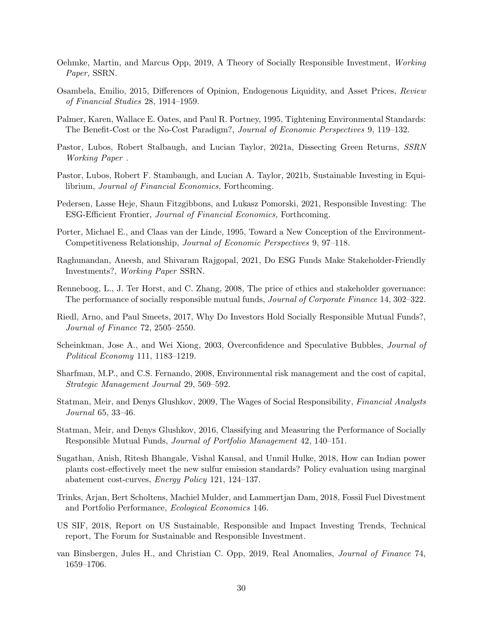- <span id="page-31-10"></span>Oehmke, Martin, and Marcus Opp, 2019, A Theory of Socially Responsible Investment, Working Paper, SSRN.
- <span id="page-31-13"></span>Osambela, Emilio, 2015, Differences of Opinion, Endogenous Liquidity, and Asset Prices, Review of Financial Studies 28, 1914–1959.
- <span id="page-31-14"></span>Palmer, Karen, Wallace E. Oates, and Paul R. Portney, 1995, Tightening Environmental Standards: The Benefit-Cost or the No-Cost Paradigm?, Journal of Economic Perspectives 9, 119–132.
- <span id="page-31-3"></span>Pastor, Lubos, Robert Stalbaugh, and Lucian Taylor, 2021a, Dissecting Green Returns, SSRN Working Paper .
- <span id="page-31-1"></span>Pastor, Lubos, Robert F. Stambaugh, and Lucian A. Taylor, 2021b, Sustainable Investing in Equilibrium, Journal of Financial Economics, Forthcoming.
- <span id="page-31-2"></span>Pedersen, Lasse Heje, Shaun Fitzgibbons, and Lukasz Pomorski, 2021, Responsible Investing: The ESG-Efficient Frontier, Journal of Financial Economics, Forthcoming.
- <span id="page-31-15"></span>Porter, Michael E., and Claas van der Linde, 1995, Toward a New Conception of the Environment-Competitiveness Relationship, Journal of Economic Perspectives 9, 97–118.
- <span id="page-31-17"></span>Raghunandan, Aneesh, and Shivaram Rajgopal, 2021, Do ESG Funds Make Stakeholder-Friendly Investments?, Working Paper SSRN.
- <span id="page-31-5"></span>Renneboog, L., J. Ter Horst, and C. Zhang, 2008, The price of ethics and stakeholder governance: The performance of socially responsible mutual funds, Journal of Corporate Finance 14, 302–322.
- <span id="page-31-4"></span>Riedl, Arno, and Paul Smeets, 2017, Why Do Investors Hold Socially Responsible Mutual Funds?, Journal of Finance 72, 2505–2550.
- <span id="page-31-11"></span>Scheinkman, Jose A., and Wei Xiong, 2003, Overconfidence and Speculative Bubbles, Journal of Political Economy 111, 1183–1219.
- <span id="page-31-6"></span>Sharfman, M.P., and C.S. Fernando, 2008, Environmental risk management and the cost of capital, Strategic Management Journal 29, 569–592.
- <span id="page-31-7"></span>Statman, Meir, and Denys Glushkov, 2009, The Wages of Social Responsibility, Financial Analysts Journal 65, 33–46.
- <span id="page-31-8"></span>Statman, Meir, and Denys Glushkov, 2016, Classifying and Measuring the Performance of Socially Responsible Mutual Funds, Journal of Portfolio Management 42, 140–151.
- <span id="page-31-16"></span>Sugathan, Anish, Ritesh Bhangale, Vishal Kansal, and Unmil Hulke, 2018, How can Indian power plants cost-effectively meet the new sulfur emission standards? Policy evaluation using marginal abatement cost-curves, Energy Policy 121, 124–137.
- <span id="page-31-9"></span>Trinks, Arjan, Bert Scholtens, Machiel Mulder, and Lammertjan Dam, 2018, Fossil Fuel Divestment and Portfolio Performance, Ecological Economics 146.
- <span id="page-31-0"></span>US SIF, 2018, Report on US Sustainable, Responsible and Impact Investing Trends, Technical report, The Forum for Sustainable and Responsible Investment.
- <span id="page-31-12"></span>van Binsbergen, Jules H., and Christian C. Opp, 2019, Real Anomalies, Journal of Finance 74, 1659–1706.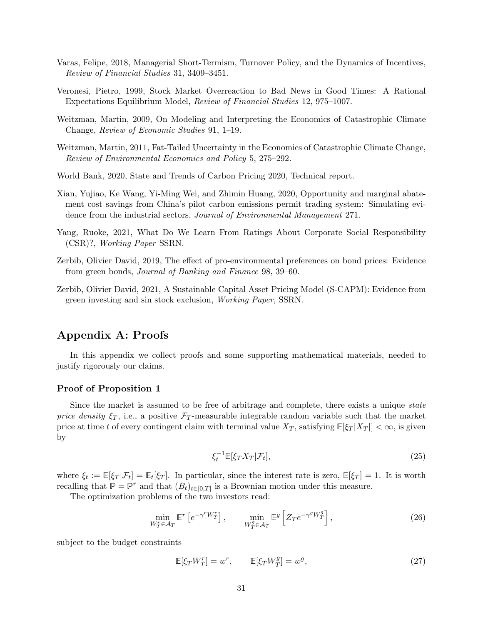- <span id="page-32-4"></span>Varas, Felipe, 2018, Managerial Short-Termism, Turnover Policy, and the Dynamics of Incentives, Review of Financial Studies 31, 3409–3451.
- <span id="page-32-3"></span>Veronesi, Pietro, 1999, Stock Market Overreaction to Bad News in Good Times: A Rational Expectations Equilibrium Model, Review of Financial Studies 12, 975–1007.
- <span id="page-32-1"></span>Weitzman, Martin, 2009, On Modeling and Interpreting the Economics of Catastrophic Climate Change, Review of Economic Studies 91, 1–19.
- <span id="page-32-7"></span>Weitzman, Martin, 2011, Fat-Tailed Uncertainty in the Economics of Catastrophic Climate Change, Review of Environmental Economics and Policy 5, 275–292.
- <span id="page-32-6"></span>World Bank, 2020, State and Trends of Carbon Pricing 2020, Technical report.
- <span id="page-32-5"></span>Xian, Yujiao, Ke Wang, Yi-Ming Wei, and Zhimin Huang, 2020, Opportunity and marginal abatement cost savings from China's pilot carbon emissions permit trading system: Simulating evidence from the industrial sectors, *Journal of Environmental Management* 271.
- <span id="page-32-8"></span>Yang, Ruoke, 2021, What Do We Learn From Ratings About Corporate Social Responsibility (CSR)?, Working Paper SSRN.
- <span id="page-32-2"></span>Zerbib, Olivier David, 2019, The effect of pro-environmental preferences on bond prices: Evidence from green bonds, Journal of Banking and Finance 98, 39–60.
- <span id="page-32-0"></span>Zerbib, Olivier David, 2021, A Sustainable Capital Asset Pricing Model (S-CAPM): Evidence from green investing and sin stock exclusion, Working Paper, SSRN.

### Appendix A: Proofs

In this appendix we collect proofs and some supporting mathematical materials, needed to justify rigorously our claims.

#### Proof of Proposition [1](#page-11-2)

Since the market is assumed to be free of arbitrage and complete, there exists a unique state price density  $\xi_T$ , i.e., a positive  $\mathcal{F}_T$ -measurable integrable random variable such that the market price at time t of every contingent claim with terminal value  $X_T$ , satisfying  $\mathbb{E}[\xi_T | X_T|] < \infty$ , is given by

<span id="page-32-11"></span><span id="page-32-10"></span><span id="page-32-9"></span>
$$
\xi_t^{-1} \mathbb{E}[\xi_T X_T | \mathcal{F}_t],\tag{25}
$$

where  $\xi_t := \mathbb{E}[\xi_T | \mathcal{F}_t] = \mathbb{E}_t[\xi_T]$ . In particular, since the interest rate is zero,  $\mathbb{E}[\xi_T] = 1$ . It is worth recalling that  $\mathbb{P} = \mathbb{P}^r$  and that  $(B_t)_{t \in [0,T]}$  is a Brownian motion under this measure.

The optimization problems of the two investors read:

$$
\min_{W_T^r \in \mathcal{A}_T} \mathbb{E}^r \left[ e^{-\gamma^r W_T^r} \right], \qquad \min_{W_T^g \in \mathcal{A}_T} \mathbb{E}^g \left[ Z_T e^{-\gamma^g W_T^g} \right], \tag{26}
$$

subject to the budget constraints

$$
\mathbb{E}[\xi_T W_T^r] = w^r, \qquad \mathbb{E}[\xi_T W_T^g] = w^g, \tag{27}
$$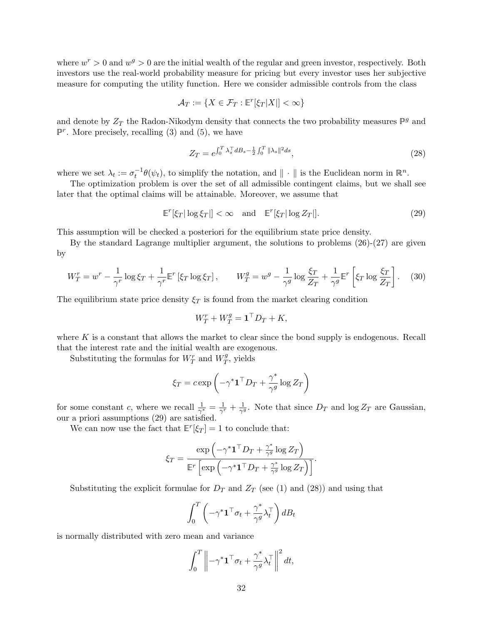where  $w^r > 0$  and  $w^g > 0$  are the initial wealth of the regular and green investor, respectively. Both investors use the real-world probability measure for pricing but every investor uses her subjective measure for computing the utility function. Here we consider admissible controls from the class

$$
\mathcal{A}_T := \{ X \in \mathcal{F}_T : \mathbb{E}^r[\xi_T |X|] < \infty \}
$$

and denote by  $Z_T$  the Radon-Nikodym density that connects the two probability measures  $\mathbb{P}^g$  and  $\mathbb{P}^r$ . More precisely, recalling [\(3\)](#page-8-1) and [\(5\)](#page-9-1), we have

<span id="page-33-1"></span><span id="page-33-0"></span>
$$
Z_T = e^{\int_0^T \lambda_s^\top dB_s - \frac{1}{2} \int_0^T \|\lambda_s\|^2 ds},\tag{28}
$$

where we set  $\lambda_t := \sigma_t^{-1} \theta(\psi_t)$ , to simplify the notation, and  $\| \cdot \|$  is the Euclidean norm in  $\mathbb{R}^n$ .

The optimization problem is over the set of all admissible contingent claims, but we shall see later that the optimal claims will be attainable. Moreover, we assume that

$$
\mathbb{E}^r[\xi_T | \log \xi_T]| < \infty \quad \text{and} \quad \mathbb{E}^r[\xi_T | \log Z_T]|. \tag{29}
$$

This assumption will be checked a posteriori for the equilibrium state price density.

By the standard Lagrange multiplier argument, the solutions to problems [\(26\)](#page-32-9)-[\(27\)](#page-32-10) are given by

$$
W_T^r = w^r - \frac{1}{\gamma^r} \log \xi_T + \frac{1}{\gamma^r} \mathbb{E}^r \left[ \xi_T \log \xi_T \right], \qquad W_T^g = w^g - \frac{1}{\gamma^g} \log \frac{\xi_T}{Z_T} + \frac{1}{\gamma^g} \mathbb{E}^r \left[ \xi_T \log \frac{\xi_T}{Z_T} \right]. \tag{30}
$$

The equilibrium state price density  $\xi_T$  is found from the market clearing condition

<span id="page-33-2"></span>
$$
W_T^r + W_T^g = \mathbf{1}^\top D_T + K,
$$

where  $K$  is a constant that allows the market to clear since the bond supply is endogenous. Recall that the interest rate and the initial wealth are exogenous.

Substituting the formulas for  $W_T^r$  and  $W_T^g$  $T^g$ , yields

$$
\xi_T = c \exp\left(-\gamma^* \mathbf{1}^\top D_T + \frac{\gamma^*}{\gamma^g} \log Z_T\right)
$$

for some constant c, where we recall  $\frac{1}{\gamma^*} = \frac{1}{\gamma'}$  $\frac{1}{\gamma^r}+\frac{1}{\gamma^g}$  $\frac{1}{\gamma^g}$ . Note that since  $D_T$  and  $\log Z_T$  are Gaussian, our a priori assumptions [\(29\)](#page-33-0) are satisfied.

We can now use the fact that  $\mathbb{E}^r[\xi_T] = 1$  to conclude that:

$$
\xi_T = \frac{\exp\left(-\gamma^* \mathbf{1}^\top D_T + \frac{\gamma^*}{\gamma^g} \log Z_T\right)}{\mathbb{E}^r \left[\exp\left(-\gamma^* \mathbf{1}^\top D_T + \frac{\gamma^*}{\gamma^g} \log Z_T\right)\right]}.
$$

Substituting the explicit formulae for  $D_T$  and  $Z_T$  (see [\(1\)](#page-7-3) and [\(28\)](#page-33-1)) and using that

$$
\int_0^T \left( -\gamma^* \mathbf{1}^\top \sigma_t + \frac{\gamma^*}{\gamma^g} \lambda_t^\top \right) dB_t
$$

is normally distributed with zero mean and variance

$$
\int_0^T \left\| -\gamma^* \mathbf{1}^\top \sigma_t + \frac{\gamma^*}{\gamma^g} \lambda_t^\top \right\|^2 dt,
$$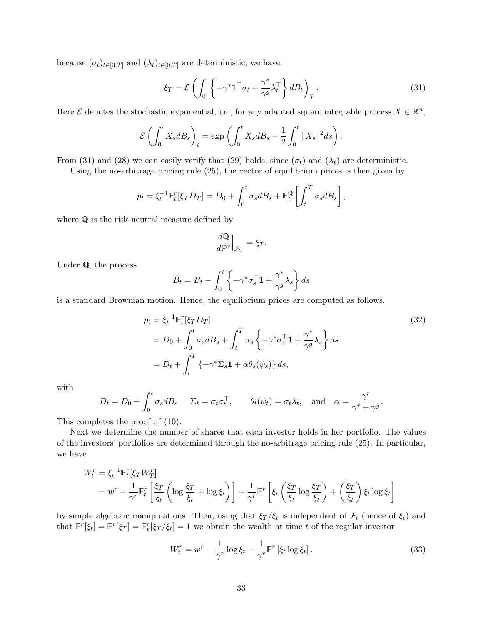because  $(\sigma_t)_{t\in[0,T]}$  and  $(\lambda_t)_{t\in[0,T]}$  are deterministic, we have:

<span id="page-34-0"></span>
$$
\xi_T = \mathcal{E}\left(\int_0^\cdot \left\{-\gamma^* \mathbf{1}^\top \sigma_t + \frac{\gamma^*}{\gamma^g} \lambda_t^\top \right\} dB_t\right)_T. \tag{31}
$$

Here  $\mathcal E$  denotes the stochastic exponential, i.e., for any adapted square integrable process  $X \in \mathbb{R}^n$ ,

$$
\mathcal{E}\left(\int_0^{\cdot} X_s dB_s\right)_t = \exp\left(\int_0^t X_s dB_s - \frac{1}{2} \int_0^t \|X_s\|^2 ds\right).
$$

From [\(31\)](#page-34-0) and [\(28\)](#page-33-1) we can easily verify that [\(29\)](#page-33-0) holds, since  $(\sigma_t)$  and  $(\lambda_t)$  are deterministic.

Using the no-arbitrage pricing rule [\(25\)](#page-32-11), the vector of equilibrium prices is then given by

$$
p_t = \xi_t^{-1} \mathbb{E}_t^r [\xi_T D_T] = D_0 + \int_0^t \sigma_s dB_s + \mathbb{E}_t^{\mathbb{Q}} \left[ \int_t^T \sigma_s dB_s \right],
$$

where Q is the risk-neutral measure defined by

<span id="page-34-2"></span>
$$
\frac{d\mathbb{Q}}{d\mathbb{P}^r}\Big|_{\mathcal{F}_T} = \xi_T.
$$

Under Q, the process

$$
\widetilde{B}_t = B_t - \int_0^t \left\{ -\gamma^* \sigma_s^\top \mathbf{1} + \frac{\gamma^*}{\gamma^g} \lambda_s \right\} ds
$$

is a standard Brownian motion. Hence, the equilibrium prices are computed as follows.

$$
p_t = \xi_t^{-1} \mathbb{E}_t^r [\xi_T D_T]
$$
  
=  $D_0 + \int_0^t \sigma_s dB_s + \int_t^T \sigma_s \left\{ -\gamma^* \sigma_s^\top \mathbf{1} + \frac{\gamma^*}{\gamma^g} \lambda_s \right\} ds$   
=  $D_t + \int_t^T \left\{ -\gamma^* \Sigma_s \mathbf{1} + \alpha \theta_s(\psi_s) \right\} ds$ , (32)

with

$$
D_t = D_0 + \int_0^t \sigma_s dB_s
$$
,  $\Sigma_t = \sigma_t \sigma_t^{\top}$ ,  $\theta_t(\psi_t) = \sigma_t \lambda_t$ , and  $\alpha = \frac{\gamma^r}{\gamma^r + \gamma^g}$ .

This completes the proof of [\(10\)](#page-11-3).

Next we determine the number of shares that each investor holds in her portfolio. The values of the investors' portfolios are determined through the no-arbitrage pricing rule [\(25\)](#page-32-11). In particular, we have

$$
W_t^r = \xi_t^{-1} \mathbb{E}_t^r [\xi_T W_T^r]
$$
  
=  $w^r - \frac{1}{\gamma^r} \mathbb{E}_t^r \left[ \frac{\xi_T}{\xi_t} \left( \log \frac{\xi_T}{\xi_t} + \log \xi_t \right) \right] + \frac{1}{\gamma^r} \mathbb{E}^r \left[ \xi_t \left( \frac{\xi_T}{\xi_t} \log \frac{\xi_T}{\xi_t} \right) + \left( \frac{\xi_T}{\xi_t} \right) \xi_t \log \xi_t \right],$ 

by simple algebraic manipulations. Then, using that  $\xi_T/\xi_t$  is independent of  $\mathcal{F}_t$  (hence of  $\xi_t$ ) and that  $\mathbb{E}^r[\xi_t] = \mathbb{E}^r[\xi_T] = \mathbb{E}^r_t[\xi_T/\xi_t] = 1$  we obtain the wealth at time t of the regular investor

<span id="page-34-1"></span>
$$
W_t^r = w^r - \frac{1}{\gamma^r} \log \xi_t + \frac{1}{\gamma^r} \mathbb{E}^r \left[ \xi_t \log \xi_t \right]. \tag{33}
$$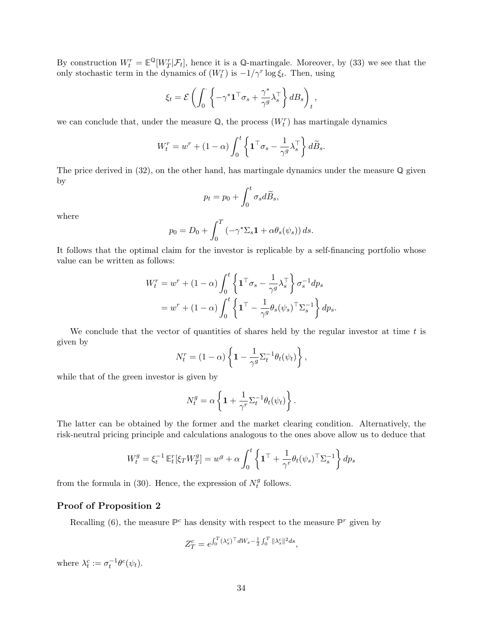By construction  $W_t^r = \mathbb{E}^{\mathbb{Q}}[W_T^r | \mathcal{F}_t]$ , hence it is a Q-martingale. Moreover, by [\(33\)](#page-34-1) we see that the only stochastic term in the dynamics of  $(W_t^r)$  is  $-1/\gamma^r \log \xi_t$ . Then, using

$$
\xi_t = \mathcal{E}\left(\int_0^{\cdot} \left\{-\gamma^* \mathbf{1}^\top \sigma_s + \frac{\gamma^*}{\gamma^g} \lambda_s^\top \right\} dB_s\right)_t,
$$

we can conclude that, under the measure  $\mathbb{Q}$ , the process  $(W_t^r)$  has martingale dynamics

$$
W_t^r = w^r + (1 - \alpha) \int_0^t \left\{ \mathbf{1}^\top \sigma_s - \frac{1}{\gamma^g} \lambda_s^\top \right\} d\widetilde{B}_s.
$$

The price derived in  $(32)$ , on the other hand, has martingale dynamics under the measure  $\mathbb Q$  given by

$$
p_t = p_0 + \int_0^t \sigma_s d\widetilde{B}_s,
$$

where

$$
p_0 = D_0 + \int_0^T \left(-\gamma^* \Sigma_s \mathbf{1} + \alpha \theta_s(\psi_s)\right) ds.
$$

It follows that the optimal claim for the investor is replicable by a self-financing portfolio whose value can be written as follows:

$$
W_t^r = w^r + (1 - \alpha) \int_0^t \left\{ \mathbf{1}^\top \sigma_s - \frac{1}{\gamma^g} \lambda_s^\top \right\} \sigma_s^{-1} dp_s
$$
  
= 
$$
w^r + (1 - \alpha) \int_0^t \left\{ \mathbf{1}^\top - \frac{1}{\gamma^g} \theta_s(\psi_s)^\top \Sigma_s^{-1} \right\} dp_s.
$$

We conclude that the vector of quantities of shares held by the regular investor at time  $t$  is given by

$$
N_t^r = (1 - \alpha) \left\{ 1 - \frac{1}{\gamma^g} \Sigma_t^{-1} \theta_t(\psi_t) \right\},\,
$$

while that of the green investor is given by

$$
N_t^g = \alpha \left\{ \mathbf{1} + \frac{1}{\gamma^r} \Sigma_t^{-1} \theta_t(\psi_t) \right\}.
$$

The latter can be obtained by the former and the market clearing condition. Alternatively, the risk-neutral pricing principle and calculations analogous to the ones above allow us to deduce that

$$
W_t^g = \xi_t^{-1} \mathbb{E}_t^r [\xi_T W_T^g] = w^g + \alpha \int_0^t \left\{ \mathbf{1}^\top + \frac{1}{\gamma^r} \theta_t (\psi_s)^\top \Sigma_s^{-1} \right\} dp_s
$$

from the formula in [\(30\)](#page-33-2). Hence, the expression of  $N_t^g$  $t^g$  follows.

#### Proof of Proposition [2](#page-12-2)

Recalling [\(6\)](#page-9-4), the measure  $\mathbb{P}^c$  has density with respect to the measure  $\mathbb{P}^r$  given by

$$
Z_T^c = e^{\int_0^T (\lambda_s^c)^\top dW_s - \frac{1}{2} \int_0^T \|\lambda_s^c\|^2 ds},
$$

where  $\lambda_t^c := \sigma_t^{-1} \theta^c(\psi_t)$ .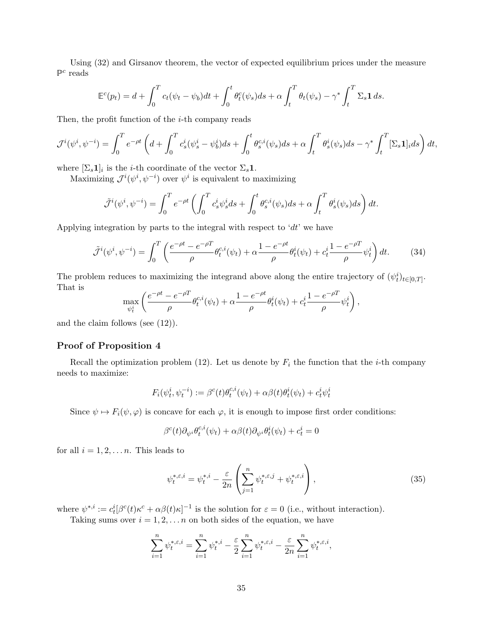Using [\(32\)](#page-34-2) and Girsanov theorem, the vector of expected equilibrium prices under the measure  $\mathbb{P}^c$  reads

$$
\mathbb{E}^c(p_t) = d + \int_0^T c_t(\psi_t - \psi_b)dt + \int_0^t \theta_t^c(\psi_s)ds + \alpha \int_t^T \theta_t(\psi_s) - \gamma^* \int_t^T \Sigma_s \mathbf{1} ds.
$$

Then, the profit function of the  $i$ -th company reads

$$
\mathcal{J}^{i}(\psi^{i},\psi^{-i}) = \int_{0}^{T} e^{-\rho t} \left( d + \int_{0}^{T} c_{s}^{i}(\psi^{i}_{s} - \psi^{i}_{b}) ds + \int_{0}^{t} \theta_{s}^{c,i}(\psi_{s}) ds + \alpha \int_{t}^{T} \theta_{s}^{i}(\psi_{s}) ds - \gamma^{*} \int_{t}^{T} [\Sigma_{s} \mathbf{1}]_{i} ds \right) dt,
$$

where  $[\Sigma_s \mathbf{1}]_i$  is the *i*-th coordinate of the vector  $\Sigma_s \mathbf{1}$ .

Maximizing  $\mathcal{J}^{i}(\psi^i, \psi^{-i})$  over  $\psi^i$  is equivalent to maximizing

$$
\tilde{\mathcal{J}}^{i}(\psi^{i},\psi^{-i}) = \int_{0}^{T} e^{-\rho t} \left( \int_{0}^{T} c_{s}^{i} \psi_{s}^{i} ds + \int_{0}^{t} \theta_{s}^{c,i}(\psi_{s}) ds + \alpha \int_{t}^{T} \theta_{s}^{i}(\psi_{s}) ds \right) dt.
$$

Applying integration by parts to the integral with respect to ' $dt$ ' we have

$$
\tilde{\mathcal{J}}^{i}(\psi^{i}, \psi^{-i}) = \int_{0}^{T} \left( \frac{e^{-\rho t} - e^{-\rho T}}{\rho} \theta_{t}^{c,i}(\psi_{t}) + \alpha \frac{1 - e^{-\rho t}}{\rho} \theta_{t}^{i}(\psi_{t}) + c_{t}^{i} \frac{1 - e^{-\rho T}}{\rho} \psi_{t}^{i} \right) dt. \tag{34}
$$

The problem reduces to maximizing the integrand above along the entire trajectory of  $(\psi_t^i)_{t \in [0,T]}$ . That is

$$
\max_{\psi_t^i} \left( \frac{e^{-\rho t} - e^{-\rho T}}{\rho} \theta_t^{c,i}(\psi_t) + \alpha \frac{1 - e^{-\rho t}}{\rho} \theta_t^i(\psi_t) + c_t^i \frac{1 - e^{-\rho T}}{\rho} \psi_t^i \right),
$$

and the claim follows (see [\(12\)](#page-12-1)).

#### Proof of Proposition [4](#page-19-1)

Recall the optimization problem [\(12\)](#page-12-1). Let us denote by  $F_i$  the function that the *i*-th company needs to maximize:

$$
F_i(\psi_t^i, \psi_t^{-i}) := \beta^c(t)\theta_t^{c,i}(\psi_t) + \alpha\beta(t)\theta_t^i(\psi_t) + c_t^i\psi_t^i
$$

Since  $\psi \mapsto F_i(\psi, \varphi)$  is concave for each  $\varphi$ , it is enough to impose first order conditions:

$$
\beta^c(t)\partial_{\psi^i}\theta_t^{c,i}(\psi_t)+\alpha\beta(t)\partial_{\psi^i}\theta_t^i(\psi_t)+c_t^i=0
$$

for all  $i = 1, 2, \ldots n$ . This leads to

<span id="page-36-0"></span>
$$
\psi_t^{*,\varepsilon,i} = \psi_t^{*,i} - \frac{\varepsilon}{2n} \left( \sum_{j=1}^n \psi_t^{*,\varepsilon,j} + \psi_t^{*,\varepsilon,i} \right),\tag{35}
$$

where  $\psi^{*,i} := c_t^i [\beta^c(t) \kappa^c + \alpha \beta(t) \kappa]^{-1}$  is the solution for  $\varepsilon = 0$  (i.e., without interaction).

Taking sums over  $i = 1, 2, \ldots n$  on both sides of the equation, we have

$$
\sum_{i=1}^n \psi_t^{*,\varepsilon,i} = \sum_{i=1}^n \psi_t^{*,i} - \frac{\varepsilon}{2} \sum_{i=1}^n \psi_t^{*,\varepsilon,i} - \frac{\varepsilon}{2n} \sum_{i=1}^n \psi_t^{*,\varepsilon,i},
$$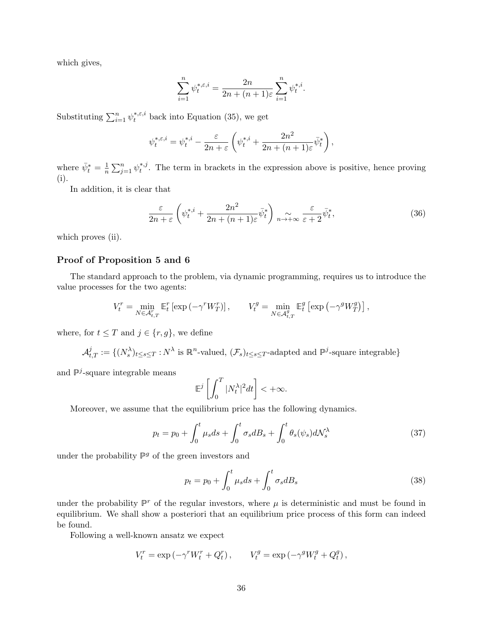which gives,

$$
\sum_{i=1}^{n} \psi_t^{*,\varepsilon,i} = \frac{2n}{2n + (n+1)\varepsilon} \sum_{i=1}^{n} \psi_t^{*,i}.
$$

Substituting  $\sum_{i=1}^{n} \psi_t^{*,\varepsilon,i}$  back into Equation [\(35\)](#page-36-0), we get

$$
\psi_t^{*,\varepsilon,i} = \psi_t^{*,i} - \frac{\varepsilon}{2n+\varepsilon} \left( \psi_t^{*,i} + \frac{2n^2}{2n+(n+1)\varepsilon} \bar{\psi}_t^* \right),\,
$$

where  $\bar{\psi}_t^* = \frac{1}{n}$  $\frac{1}{n} \sum_{j=1}^{n} \psi_t^{*,j}$  $t_t^{*,j}$ . The term in brackets in the expression above is positive, hence proving (i).

In addition, it is clear that

$$
\frac{\varepsilon}{2n+\varepsilon} \left( \psi_t^{*,i} + \frac{2n^2}{2n+(n+1)\varepsilon} \bar{\psi}_t^* \right) \underset{n \to +\infty}{\sim} \frac{\varepsilon}{\varepsilon+2} \bar{\psi}_t^*,\tag{36}
$$

which proves (ii).

#### Proof of Proposition [5](#page-21-0) and [6](#page-22-2)

The standard approach to the problem, via dynamic programming, requires us to introduce the value processes for the two agents:

$$
V_t^r = \min_{N \in \mathcal{A}_{t,T}^r} \mathbb{E}_t^r \left[ \exp \left( -\gamma^r W_T^r \right) \right], \qquad V_t^g = \min_{N \in \mathcal{A}_{t,T}^g} \mathbb{E}_t^g \left[ \exp \left( -\gamma^g W_T^g \right) \right],
$$

where, for  $t \leq T$  and  $j \in \{r, g\}$ , we define

$$
\mathcal{A}^j_{t,T} := \{ (N^{\lambda}_s)_{t \le s \le T} : N^{\lambda} \text{ is } \mathbb{R}^n\text{-valued}, (\mathcal{F}_s)_{t \le s \le T}\text{-adapted and } \mathbb{P}^j\text{-square integrable}\}
$$

and  $\mathbb{P}^j$ -square integrable means

$$
\mathbb{E}^j\left[\int_0^T |N_t^\lambda|^2 dt\right] < +\infty.
$$

Moreover, we assume that the equilibrium price has the following dynamics.

$$
p_t = p_0 + \int_0^t \mu_s ds + \int_0^t \sigma_s dB_s + \int_0^t \theta_s(\psi_s) d\mathcal{N}_s^{\lambda}
$$
 (37)

under the probability  $\mathbb{P}^g$  of the green investors and

$$
p_t = p_0 + \int_0^t \mu_s ds + \int_0^t \sigma_s dB_s \tag{38}
$$

under the probability  $\mathbb{P}^r$  of the regular investors, where  $\mu$  is deterministic and must be found in equilibrium. We shall show a posteriori that an equilibrium price process of this form can indeed be found.

Following a well-known ansatz we expect

$$
V_t^r = \exp(-\gamma^r W_t^r + Q_t^r), \qquad V_t^g = \exp(-\gamma^g W_t^g + Q_t^g),
$$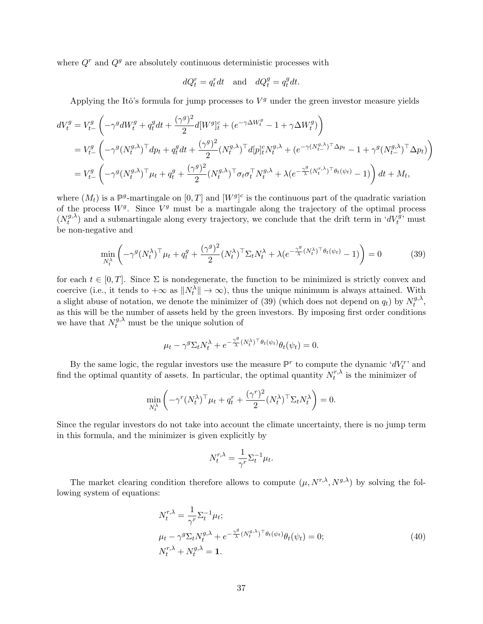where  $Q<sup>r</sup>$  and  $Q<sup>g</sup>$  are absolutely continuous deterministic processes with

$$
dQ_t^r = q_t^r dt \quad \text{and} \quad dQ_t^g = q_t^g dt.
$$

Applying the Itô's formula for jump processes to  $V<sup>g</sup>$  under the green investor measure yields

$$
dV_t^g = V_{t-}^g \left( -\gamma^g dW_t^g + q_t^g dt + \frac{(\gamma^g)^2}{2} d[W^g]_t^c + (e^{-\gamma \Delta W_t^g} - 1 + \gamma \Delta W_t^g) \right)
$$
  
=  $V_{t-}^g \left( -\gamma^g (N_t^{g,\lambda})^\top dp_t + q_t^g dt + \frac{(\gamma^g)^2}{2} (N_t^{g,\lambda})^\top d[p]_t^c N_t^{g,\lambda} + (e^{-\gamma (N_{t-}^{g,\lambda})^\top \Delta p_t} - 1 + \gamma^g (N_{t-}^{g,\lambda})^\top \Delta p_t) \right)$   
=  $V_{t-}^g \left( -\gamma^g (N_t^{g,\lambda})^\top \mu_t + q_t^g + \frac{(\gamma^g)^2}{2} (N_t^{g,\lambda})^\top \sigma_t \sigma_t^\top N_t^{g,\lambda} + \lambda (e^{-\frac{\gamma^g}{\lambda} (N_t^{r,\lambda})^\top \theta_t (\psi_t)} - 1) \right) dt + M_t,$ 

where  $(M_t)$  is a  $\mathbb{P}^g$ -martingale on  $[0,T]$  and  $[W^g]^c$  is the continuous part of the quadratic variation of the process  $W<sup>g</sup>$ . Since  $V<sup>g</sup>$  must be a martingale along the trajectory of the optimal process  $(N_t^{g,\lambda})$  $(t_t^{(g,\lambda)})$  and a submartingale along every trajectory, we conclude that the drift term in ' $dV_t^{\bar{g}}$ ' must be non-negative and

$$
\min_{N_t^{\lambda}} \left( -\gamma^g (N_t^{\lambda})^{\top} \mu_t + q_t^g + \frac{(\gamma^g)^2}{2} (N_t^{\lambda})^{\top} \Sigma_t N_t^{\lambda} + \lambda (e^{-\frac{\gamma^g}{\lambda} (N_t^{\lambda})^{\top} \theta_t (\psi_t)} - 1) \right) = 0 \tag{39}
$$

for each  $t \in [0, T]$ . Since  $\Sigma$  is nondegenerate, the function to be minimized is strictly convex and coercive (i.e., it tends to  $+\infty$  as  $||N_t^{\lambda}|| \to \infty$ ), thus the unique minimum is always attained. With a slight abuse of notation, we denote the minimizer of [\(39\)](#page-38-0) (which does not depend on  $q_t$ ) by  $N_t^{g,\lambda}$  $t^{g,\lambda},$ as this will be the number of assets held by the green investors. By imposing first order conditions we have that  $N_t^{g,\lambda}$  must be the unique solution of

<span id="page-38-0"></span>
$$
\mu_t - \gamma^g \Sigma_t N_t^{\lambda} + e^{-\frac{\gamma^g}{\lambda} (N_t^{\lambda})^\top \theta_t(\psi_t)} \theta_t(\psi_t) = 0.
$$

By the same logic, the regular investors use the measure  $\mathbb{P}^r$  to compute the dynamic ' $dV_t^r$ ' and find the optimal quantity of assets. In particular, the optimal quantity  $N_t^{r,\lambda}$  $t^{r,\lambda}$  is the minimizer of

$$
\min_{N_t^{\lambda}} \left( -\gamma^r (N_t^{\lambda})^{\top} \mu_t + q_t^r + \frac{(\gamma^r)^2}{2} (N_t^{\lambda})^{\top} \Sigma_t N_t^{\lambda} \right) = 0.
$$

Since the regular investors do not take into account the climate uncertainty, there is no jump term in this formula, and the minimizer is given explicitly by

$$
N_t^{r,\lambda} = \frac{1}{\gamma^r} \Sigma_t^{-1} \mu_t.
$$

The market clearing condition therefore allows to compute  $(\mu, N^{r,\lambda}, N^{g,\lambda})$  by solving the following system of equations:

$$
N_t^{r,\lambda} = \frac{1}{\gamma^r} \Sigma_t^{-1} \mu_t;
$$
  
\n
$$
\mu_t - \gamma^g \Sigma_t N_t^{g,\lambda} + e^{-\frac{\gamma^g}{\lambda} (N_t^{g,\lambda})^\top \theta_t(\psi_t)} \theta_t(\psi_t) = 0;
$$
  
\n
$$
N_t^{r,\lambda} + N_t^{g,\lambda} = \mathbf{1}.
$$
\n(40)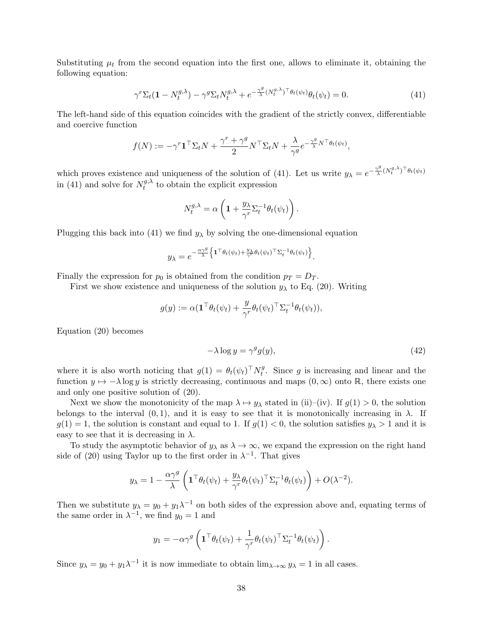Substituting  $\mu_t$  from the second equation into the first one, allows to eliminate it, obtaining the following equation:

$$
\gamma^r \Sigma_t (\mathbf{1} - N_t^{g,\lambda}) - \gamma^g \Sigma_t N_t^{g,\lambda} + e^{-\frac{\gamma^g}{\lambda} (N_t^{g,\lambda})^\top \theta_t (\psi_t)} \theta_t (\psi_t) = 0. \tag{41}
$$

The left-hand side of this equation coincides with the gradient of the strictly convex, differentiable and coercive function

$$
f(N) := -\gamma^r \mathbf{1}^\top \Sigma_t N + \frac{\gamma^r + \gamma^g}{2} N^\top \Sigma_t N + \frac{\lambda}{\gamma^g} e^{-\frac{\gamma^g}{\lambda} N^\top \theta_t(\psi_t)},
$$

which proves existence and uniqueness of the solution of [\(41\)](#page-39-0). Let us write  $y_{\lambda} = e^{-\frac{\gamma^g}{\lambda}}$  $\frac{\gamma^g}{\lambda}(N_t^{g,\lambda})^{\top} \theta_t(\psi_t)$ in [\(41\)](#page-39-0) and solve for  $N_t^{g,\lambda}$  $t_t^{g,\lambda}$  to obtain the explicit expression

<span id="page-39-0"></span>
$$
N_t^{g,\lambda} = \alpha \left( 1 + \frac{y_\lambda}{\gamma^r} \Sigma_t^{-1} \theta_t(\psi_t) \right).
$$

Plugging this back into [\(41\)](#page-39-0) we find  $y_{\lambda}$  by solving the one-dimensional equation

$$
y_{\lambda} = e^{-\frac{\alpha \gamma^g}{\lambda}} \left\{ \mathbf{1}^\top \theta_t(\psi_t) + \frac{y_{\lambda}}{\gamma^r} \theta_t(\psi_t)^\top \Sigma_t^{-1} \theta_t(\psi_t) \right\}.
$$

Finally the expression for  $p_0$  is obtained from the condition  $p_T = D_T$ .

First we show existence and uniqueness of the solution  $y_{\lambda}$  to Eq. [\(20\)](#page-22-0). Writing

$$
g(y) := \alpha (\mathbf{1}^\top \theta_t(\psi_t) + \frac{y}{\gamma^r} \theta_t(\psi_t)^\top \Sigma_t^{-1} \theta_t(\psi_t)),
$$

Equation [\(20\)](#page-22-0) becomes

<span id="page-39-1"></span>
$$
-\lambda \log y = \gamma^g g(y),\tag{42}
$$

where it is also worth noticing that  $g(1) = \theta_t(\psi_t)^\top N_t^g$  $t_t^g$ . Since g is increasing and linear and the function  $y \mapsto -\lambda \log y$  is strictly decreasing, continuous and maps  $(0, \infty)$  onto R, there exists one and only one positive solution of [\(20\)](#page-22-0).

Next we show the monotonicity of the map  $\lambda \mapsto y_\lambda$  stated in (ii)–(iv). If  $g(1) > 0$ , the solution belongs to the interval  $(0, 1)$ , and it is easy to see that it is monotonically increasing in  $\lambda$ . If  $g(1) = 1$ , the solution is constant and equal to 1. If  $g(1) < 0$ , the solution satisfies  $y_{\lambda} > 1$  and it is easy to see that it is decreasing in  $\lambda$ .

To study the asymptotic behavior of  $y_\lambda$  as  $\lambda \to \infty$ , we expand the expression on the right hand side of [\(20\)](#page-22-0) using Taylor up to the first order in  $\lambda^{-1}$ . That gives

$$
y_{\lambda} = 1 - \frac{\alpha \gamma^{g}}{\lambda} \left( \mathbf{1}^{\top} \theta_{t}(\psi_{t}) + \frac{y_{\lambda}}{\gamma^{r}} \theta_{t}(\psi_{t})^{\top} \Sigma_{t}^{-1} \theta_{t}(\psi_{t}) \right) + O(\lambda^{-2}).
$$

Then we substitute  $y_{\lambda} = y_0 + y_1 \lambda^{-1}$  on both sides of the expression above and, equating terms of the same order in  $\lambda^{-1}$ , we find  $y_0 = 1$  and

$$
y_1 = -\alpha \gamma^g \left( \mathbf{1}^\top \theta_t(\psi_t) + \frac{1}{\gamma^r} \theta_t(\psi_t)^\top \Sigma_t^{-1} \theta_t(\psi_t) \right).
$$

Since  $y_{\lambda} = y_0 + y_1 \lambda^{-1}$  it is now immediate to obtain  $\lim_{\lambda \to \infty} y_{\lambda} = 1$  in all cases.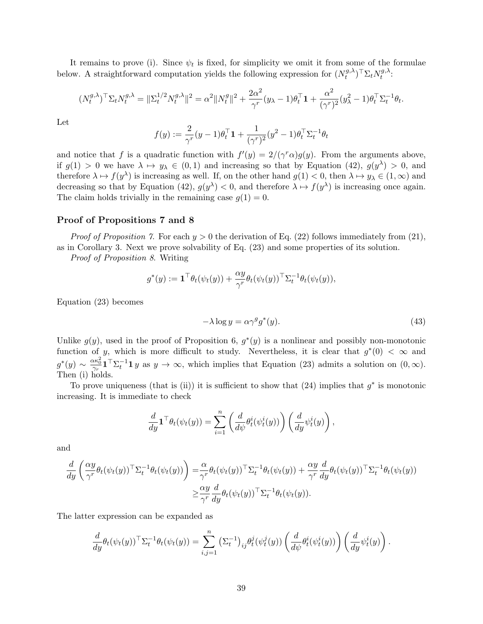It remains to prove (i). Since  $\psi_t$  is fixed, for simplicity we omit it from some of the formulae below. A straightforward computation yields the following expression for  $(N_t^{g,\lambda})$  $(t^{g,\lambda})^\top \Sigma_t N^{g,\lambda}_t$  $t^{g,\lambda}$ :

$$
(N_t^{g,\lambda})^{\top} \Sigma_t N_t^{g,\lambda} = \|\Sigma_t^{1/2} N_t^{g,\lambda}\|^2 = \alpha^2 \|N_t^g\|^2 + \frac{2\alpha^2}{\gamma^r} (y_\lambda - 1)\theta_t^{\top} \mathbf{1} + \frac{\alpha^2}{(\gamma^r)^2} (y_\lambda^2 - 1)\theta_t^{\top} \Sigma_t^{-1} \theta_t.
$$

Let

$$
f(y) := \frac{2}{\gamma^r} (y - 1)\theta_t^\top \mathbf{1} + \frac{1}{(\gamma^r)^2} (y^2 - 1)\theta_t^\top \Sigma_t^{-1} \theta_t
$$

and notice that f is a quadratic function with  $f'(y) = 2/(\gamma^r \alpha)g(y)$ . From the arguments above, if  $g(1) > 0$  we have  $\lambda \mapsto y_\lambda \in (0,1)$  and increasing so that by Equation [\(42\)](#page-39-1),  $g(y^\lambda) > 0$ , and therefore  $\lambda \mapsto f(y^{\lambda})$  is increasing as well. If, on the other hand  $g(1) < 0$ , then  $\lambda \mapsto y_{\lambda} \in (1, \infty)$  and decreasing so that by Equation [\(42\)](#page-39-1),  $g(y^{\lambda}) < 0$ , and therefore  $\lambda \mapsto f(y^{\lambda})$  is increasing once again. The claim holds trivially in the remaining case  $g(1) = 0$ .

#### Proof of Propositions [7](#page-24-3) and [8](#page-24-2)

*Proof of Proposition [7](#page-24-3).* For each  $y > 0$  the derivation of Eq. [\(22\)](#page-24-1) follows immediately from [\(21\)](#page-23-1), as in Corollary [3.](#page-13-1) Next we prove solvability of Eq. [\(23\)](#page-24-4) and some properties of its solution.

Proof of Proposition [8](#page-24-2). Writing

$$
g^*(y) := \mathbf{1}^\top \theta_t(\psi_t(y)) + \frac{\alpha y}{\gamma^r} \theta_t(\psi_t(y))^\top \Sigma_t^{-1} \theta_t(\psi_t(y)),
$$

Equation [\(23\)](#page-24-4) becomes

<span id="page-40-0"></span>
$$
-\lambda \log y = \alpha \gamma^g g^*(y). \tag{43}
$$

Unlike  $g(y)$ , used in the proof of Proposition [6,](#page-22-2)  $g^*(y)$  is a nonlinear and possibly non-monotonic function of y, which is more difficult to study. Nevertheless, it is clear that  $g^*(0) < \infty$  and  $g^*(y) \sim \frac{\alpha \kappa_0^2}{\gamma_r} \mathbf{1}^\top \Sigma_t^{-1} \mathbf{1} y$  as  $y \to \infty$ , which implies that Equation [\(23\)](#page-24-4) admits a solution on  $(0, \infty)$ . Then (i) holds.

To prove uniqueness (that is (ii)) it is sufficient to show that  $(24)$  implies that  $g^*$  is monotonic increasing. It is immediate to check

$$
\frac{d}{dy}\mathbf{1}^\top \theta_t(\psi_t(y)) = \sum_{i=1}^n \left( \frac{d}{d\psi} \theta_t^i(\psi_t^i(y)) \right) \left( \frac{d}{dy} \psi_t^i(y) \right),
$$

and

$$
\frac{d}{dy} \left( \frac{\alpha y}{\gamma^r} \theta_t(\psi_t(y))^\top \Sigma_t^{-1} \theta_t(\psi_t(y)) \right) = \frac{\alpha}{\gamma^r} \theta_t(\psi_t(y))^\top \Sigma_t^{-1} \theta_t(\psi_t(y)) + \frac{\alpha y}{\gamma^r} \frac{d}{dy} \theta_t(\psi_t(y))^\top \Sigma_t^{-1} \theta_t(\psi_t(y))
$$
\n
$$
\geq \frac{\alpha y}{\gamma^r} \frac{d}{dy} \theta_t(\psi_t(y))^\top \Sigma_t^{-1} \theta_t(\psi_t(y)).
$$

The latter expression can be expanded as

$$
\frac{d}{dy}\theta_t(\psi_t(y))^{\top} \Sigma_t^{-1} \theta_t(\psi_t(y)) = \sum_{i,j=1}^n (\Sigma_t^{-1})_{ij} \theta_t^j(\psi_t^j(y)) \left( \frac{d}{d\psi} \theta_t^i(\psi_t^i(y)) \right) \left( \frac{d}{dy} \psi_t^i(y) \right).
$$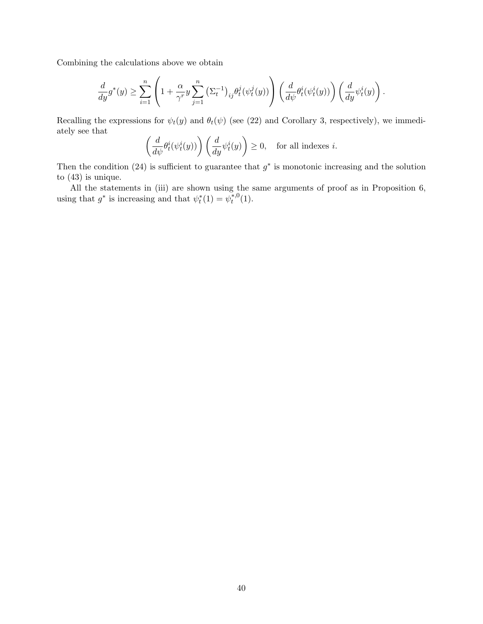Combining the calculations above we obtain

$$
\frac{d}{dy}g^*(y) \ge \sum_{i=1}^n \left(1 + \frac{\alpha}{\gamma^r} y \sum_{j=1}^n \left(\Sigma_t^{-1}\right)_{ij} \theta_t^j(\psi_t^j(y))\right) \left(\frac{d}{d\psi} \theta_t^i(\psi_t^i(y))\right) \left(\frac{d}{dy} \psi_t^i(y)\right).
$$

Recalling the expressions for  $\psi_t(y)$  and  $\theta_t(\psi)$  (see [\(22\)](#page-24-1) and Corollary [3,](#page-13-1) respectively), we immediately see that

$$
\left(\frac{d}{d\psi}\theta_t^i(\psi_t^i(y))\right)\left(\frac{d}{dy}\psi_t^i(y)\right) \ge 0, \text{ for all indexes } i.
$$

Then the condition [\(24\)](#page-24-5) is sufficient to guarantee that  $g^*$  is monotonic increasing and the solution to [\(43\)](#page-40-0) is unique.

All the statements in (iii) are shown using the same arguments of proof as in Proposition [6,](#page-22-2) using that  $g^*$  is increasing and that  $\psi_t^*(1) = \psi_t^{*,0}$  $t^{*,0}(1).$